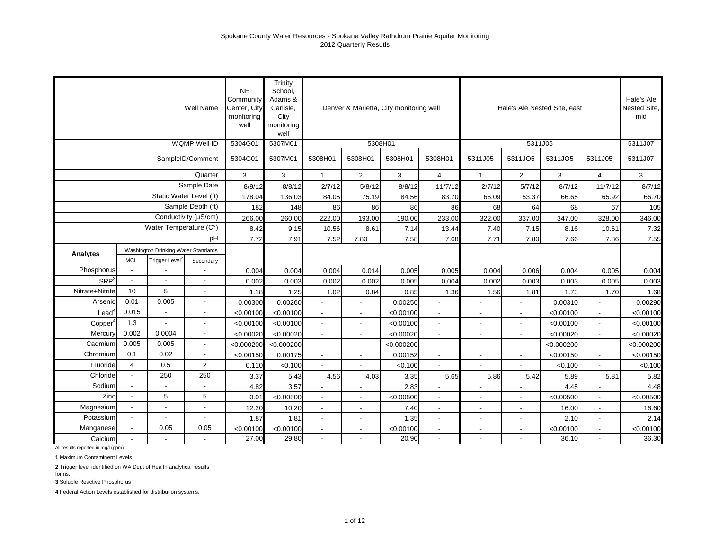|                  |                  |                                     | Well Name                | <b>NE</b><br>Community<br>Center, City<br>monitoring<br>well | Trinity<br>School,<br>Adams &<br>Carlisle,<br>City<br>monitoring<br>well |                          |                          | Denver & Marietta, City monitoring well |                          |                          |                          | Hale's Ale Nested Site, east |                          | Hale's Ale<br>Nested Site,<br>mid |
|------------------|------------------|-------------------------------------|--------------------------|--------------------------------------------------------------|--------------------------------------------------------------------------|--------------------------|--------------------------|-----------------------------------------|--------------------------|--------------------------|--------------------------|------------------------------|--------------------------|-----------------------------------|
|                  |                  |                                     | WQMP Well ID             | 5304G01                                                      | 5307M01                                                                  |                          |                          | 5308H01                                 |                          |                          | 5311J05                  |                              |                          | 5311J07                           |
|                  |                  |                                     | SampleID/Comment         | 5304G01                                                      | 5307M01                                                                  | 5308H01                  | 5308H01                  | 5308H01                                 | 5308H01                  | 5311J05                  | 5311JO5                  | 5311JO5                      | 5311J05                  | 5311J07                           |
|                  |                  |                                     | Quarter                  | 3                                                            | 3                                                                        | $\mathbf{1}$             | $\overline{2}$           | 3                                       | $\overline{4}$           | $\mathbf{1}$             | $\overline{c}$           | 3                            | $\overline{4}$           | 3                                 |
|                  |                  |                                     | Sample Date              | 8/9/12                                                       | 8/8/12                                                                   | 2/7/12                   | 5/8/12                   | 8/8/12                                  | 11/7/12                  | 2/7/12                   | 5/7/12                   | 8/7/12                       | 11/7/12                  | 8/7/12                            |
|                  |                  |                                     | Static Water Level (ft)  | 178.04                                                       | 136.03                                                                   | 84.05                    | 75.19                    | 84.56                                   | 83.70                    | 66.09                    | 53.37                    | 66.65                        | 65.92                    | 66.70                             |
|                  |                  |                                     | Sample Depth (ft)        | 182                                                          | 148                                                                      | 86                       | 86                       | 86                                      | 86                       | 68                       | 64                       | 68                           | 67                       | 105                               |
|                  |                  |                                     | Conductivity (µS/cm)     | 266.00                                                       | 260.00                                                                   | 222.00                   | 193.00                   | 190.00                                  | 233.00                   | 322.00                   | 337.00                   | 347.00                       | 328.00                   | 346.00                            |
|                  |                  | Water Temperature (C°)              |                          | 8.42                                                         | 9.15                                                                     | 10.56                    | 8.61                     | 7.14                                    | 13.44                    | 7.40                     | 7.15                     | 8.16                         | 10.61                    | 7.32                              |
|                  |                  |                                     | pH                       | 7.72                                                         | 7.91                                                                     | 7.52                     | 7.80                     | 7.58                                    | 7.68                     | 7.71                     | 7.80                     | 7.66                         | 7.86                     | 7.55                              |
| Analytes         |                  | Washington Drinking Water Standards |                          |                                                              |                                                                          |                          |                          |                                         |                          |                          |                          |                              |                          |                                   |
|                  | MCL <sup>1</sup> | Trigger Level <sup>2</sup>          | Secondary                |                                                              |                                                                          |                          |                          |                                         |                          |                          |                          |                              |                          |                                   |
| Phosphorus       |                  |                                     |                          | 0.004                                                        | 0.004                                                                    | 0.004                    | 0.014                    | 0.005                                   | 0.005                    | 0.004                    | 0.006                    | 0.004                        | 0.005                    | 0.004                             |
| SRP <sup>3</sup> |                  |                                     | $\overline{\phantom{a}}$ | 0.002                                                        | 0.003                                                                    | 0.002                    | 0.002                    | 0.005                                   | 0.004                    | 0.002                    | 0.003                    | 0.003                        | 0.005                    | 0.003                             |
| Nitrate+Nitrite  | 10               | 5                                   | $\overline{\phantom{a}}$ | 1.18                                                         | 1.25                                                                     | 1.02                     | 0.84                     | 0.85                                    | 1.36                     | 1.56                     | 1.81                     | 1.73                         | 1.70                     | 1.68                              |
| Arsenic          | 0.01             | 0.005                               | $\overline{a}$           | 0.00300                                                      | 0.00260                                                                  |                          | ÷,                       | 0.00250                                 |                          |                          |                          | 0.00310                      |                          | 0.00290                           |
| Lead             | 0.015            |                                     | $\overline{\phantom{a}}$ | < 0.00100                                                    | < 0.00100                                                                |                          |                          | < 0.00100                               |                          |                          |                          | < 0.00100                    |                          | < 0.00100                         |
| Copper           | 1.3              |                                     | $\overline{\phantom{a}}$ | < 0.00100                                                    | < 0.00100                                                                | $\overline{\phantom{a}}$ | $\overline{\phantom{a}}$ | < 0.00100                               | $\overline{\phantom{a}}$ | $\blacksquare$           | $\overline{\phantom{a}}$ | < 0.00100                    | $\blacksquare$           | < 0.00100                         |
| Mercury          | 0.002            | 0.0004                              | $\overline{\phantom{a}}$ | < 0.00020                                                    | < 0.00020                                                                | $\sim$                   | $\blacksquare$           | < 0.00020                               | $\sim$                   | $\overline{\phantom{a}}$ | $\blacksquare$           | < 0.00020                    | $\blacksquare$           | < 0.00020                         |
| Cadmium          | 0.005            | 0.005                               | $\blacksquare$           | < 0.000200                                                   | < 0.000200                                                               | $\blacksquare$           | $\sim$                   | < 0.000200                              | $\sim$                   | $\blacksquare$           | $\blacksquare$           | < 0.000200                   | $\blacksquare$           | < 0.000200                        |
| Chromium         | 0.1              | 0.02                                | $\blacksquare$           | < 0.00150                                                    | 0.00175                                                                  |                          | $\overline{\phantom{a}}$ | 0.00152                                 | $\blacksquare$           | $\overline{\phantom{a}}$ |                          | < 0.00150                    |                          | < 0.00150                         |
| Fluoride         | $\overline{4}$   | 0.5                                 | $\overline{2}$           | 0.110                                                        | < 0.100                                                                  | $\blacksquare$           | $\blacksquare$           | < 0.100                                 | $\blacksquare$           | $\overline{a}$           |                          | < 0.100                      |                          | < 0.100                           |
| Chloride         |                  | 250                                 | 250                      | 3.37                                                         | 5.43                                                                     | 4.56                     | 4.03                     | 3.35                                    | 5.65                     | 5.86                     | 5.42                     | 5.89                         | 5.81                     | 5.82                              |
| Sodium           |                  |                                     |                          | 4.82                                                         | 3.57                                                                     |                          |                          | 2.83                                    |                          |                          |                          | 4.45                         |                          | 4.48                              |
| Zinc             |                  | 5                                   | 5                        | 0.01                                                         | < 0.00500                                                                | $\overline{\phantom{a}}$ | $\overline{\phantom{a}}$ | < 0.00500                               | $\blacksquare$           | $\overline{\phantom{a}}$ | $\overline{\phantom{a}}$ | < 0.00500                    | $\overline{\phantom{a}}$ | < 0.00500                         |
| Magnesium        |                  | $\overline{\phantom{a}}$            | $\overline{\phantom{a}}$ | 12.20                                                        | 10.20                                                                    | $\blacksquare$           | $\blacksquare$           | 7.40                                    | $\mathbf{r}$             | $\overline{a}$           | $\sim$                   | 16.00                        | $\overline{a}$           | 16.60                             |
| Potassium        | $\overline{a}$   | ÷,                                  | $\overline{a}$           | 1.87                                                         | 1.81                                                                     | $\blacksquare$           | $\blacksquare$           | 1.35                                    | $\overline{\phantom{a}}$ | $\blacksquare$           | $\blacksquare$           | 2.10                         | $\blacksquare$           | 2.14                              |
| Manganese        |                  | 0.05                                | 0.05                     | < 0.00100                                                    | < 0.00100                                                                | $\blacksquare$           | $\overline{\phantom{a}}$ | < 0.00100                               | $\blacksquare$           | $\blacksquare$           | $\overline{\phantom{a}}$ | < 0.00100                    |                          | < 0.00100                         |
| Calcium          |                  |                                     | $\blacksquare$           | 27.00                                                        | 29.80                                                                    | $\overline{\phantom{a}}$ |                          | 20.90                                   |                          | $\blacksquare$           |                          | 36.10                        | $\blacksquare$           | 36.30                             |

All results reported in mg/l (ppm)

**1** Maximum Contaminent Levels

**2** Trigger level identified on WA Dept of Health analytical results

**3** Soluble Reactive Phosphorus

forms.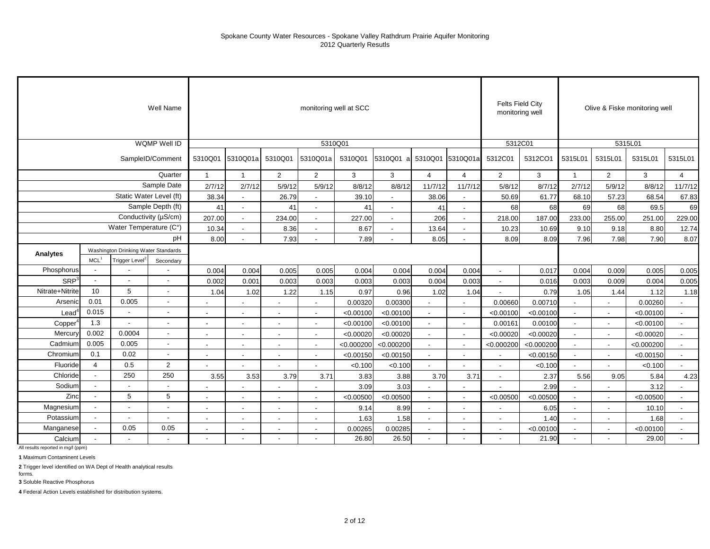|                     |                          |                                     | Well Name                |                          |                          |                | monitoring well at SCC |            |                          |                          |                          | <b>Felts Field City</b><br>monitoring well |            |                          |                          | Olive & Fiske monitoring well |                          |
|---------------------|--------------------------|-------------------------------------|--------------------------|--------------------------|--------------------------|----------------|------------------------|------------|--------------------------|--------------------------|--------------------------|--------------------------------------------|------------|--------------------------|--------------------------|-------------------------------|--------------------------|
|                     |                          |                                     | WQMP Well ID             |                          |                          |                | 5310Q01                |            |                          |                          |                          | 5312C01                                    |            |                          |                          | 5315L01                       |                          |
|                     |                          |                                     | SampleID/Comment         | 5310Q01                  | 5310Q01a                 | 5310Q01        | 5310Q01a               | 5310Q01    | 5310Q01 a                |                          | 5310Q01 5310Q01a         | 5312C01                                    | 5312CO1    | 5315L01                  | 5315L01                  | 5315L01                       | 5315L01                  |
|                     |                          |                                     | Quarter                  | $\mathbf{1}$             | $\overline{1}$           | $\overline{2}$ | $\overline{2}$         | 3          | 3                        | $\overline{4}$           | $\overline{4}$           | $\overline{2}$                             | 3          |                          | $\overline{2}$           | 3                             | $\overline{4}$           |
|                     |                          |                                     | Sample Date              | 2/7/12                   | 2/7/12                   | 5/9/12         | 5/9/12                 | 8/8/12     | 8/8/12                   | 11/7/12                  | 11/7/12                  | 5/8/12                                     | 8/7/12     | 2/7/12                   | 5/9/12                   | 8/8/12                        | 11/7/12                  |
|                     |                          |                                     | Static Water Level (ft)  | 38.34                    | $\blacksquare$           | 26.79          | $\blacksquare$         | 39.10      | $\sim$                   | 38.06                    | $\blacksquare$           | 50.69                                      | 61.77      | 68.10                    | 57.23                    | 68.54                         | 67.83                    |
|                     |                          |                                     | Sample Depth (ft)        | 41                       | $\overline{\phantom{a}}$ | 41             | $\overline{a}$         | 41         | $\overline{\phantom{a}}$ | 41                       | $\overline{\phantom{a}}$ | 68                                         | 68         | 69                       | 68                       | 69.5                          | 69                       |
|                     |                          |                                     | Conductivity (µS/cm)     | 207.00                   | $\overline{\phantom{a}}$ | 234.00         |                        | 227.00     | $\sim$                   | 206                      | $\blacksquare$           | 218.00                                     | 187.00     | 233.00                   | 255.00                   | 251.00                        | 229.00                   |
|                     |                          | Water Temperature (C°)              |                          | 10.34                    | $\overline{\phantom{a}}$ | 8.36           | $\overline{a}$         | 8.67       | $\overline{\phantom{a}}$ | 13.64                    | $\overline{\phantom{a}}$ | 10.23                                      | 10.69      | 9.10                     | 9.18                     | 8.80                          | 12.74                    |
|                     |                          |                                     | pH                       | 8.00                     |                          | 7.93           |                        | 7.89       | $\overline{\phantom{a}}$ | 8.05                     | $\overline{\phantom{a}}$ | 8.09                                       | 8.09       | 7.96                     | 7.98                     | 7.90                          | 8.07                     |
| Analytes            |                          | Washington Drinking Water Standards |                          |                          |                          |                |                        |            |                          |                          |                          |                                            |            |                          |                          |                               |                          |
|                     | MCL <sup>1</sup>         | Trigger Level <sup>2</sup>          | Secondary                |                          |                          |                |                        |            |                          |                          |                          |                                            |            |                          |                          |                               |                          |
| Phosphorus          | $\overline{\phantom{a}}$ |                                     |                          | 0.004                    | 0.004                    | 0.005          | 0.005                  | 0.004      | 0.004                    | 0.004                    | 0.004                    | $\sim$                                     | 0.017      | 0.004                    | 0.009                    | 0.005                         | 0.005                    |
| SRP <sup>3</sup>    |                          | $\overline{\phantom{a}}$            | $\sim$                   | 0.002                    | 0.001                    | 0.003          | 0.003                  | 0.003      | 0.003                    | 0.004                    | 0.003                    | $\sim$                                     | 0.016      | 0.003                    | 0.009                    | 0.004                         | 0.005                    |
| Nitrate+Nitrite     | 10                       | 5                                   |                          | 1.04                     | 1.02                     | 1.22           | 1.15                   | 0.97       | 0.96                     | 1.02                     | 1.04                     |                                            | 0.79       | 1.05                     | 1.44                     | 1.12                          | 1.18                     |
| Arsenic             | 0.01                     | 0.005                               | $\overline{\phantom{a}}$ |                          |                          | $\blacksquare$ |                        | 0.00320    | 0.00300                  |                          |                          | 0.00660                                    | 0.00710    |                          | $\blacksquare$           | 0.00260                       |                          |
| $\text{Lead}^4$     | 0.015                    | $\sim$                              |                          |                          |                          | $\blacksquare$ | $\blacksquare$         | < 0.00100  | < 0.00100                | $\sim$                   |                          | < 0.00100                                  | < 0.00100  | ٠                        | $\blacksquare$           | < 0.00100                     | $\overline{\phantom{a}}$ |
| Copper <sup>4</sup> | 1.3                      |                                     |                          |                          |                          |                |                        | < 0.00100  | < 0.00100                |                          |                          | 0.00161                                    | 0.00100    | $\overline{a}$           |                          | < 0.00100                     |                          |
| Mercury             | 0.002                    | 0.0004                              |                          |                          |                          |                |                        | < 0.00020  | < 0.00020                |                          |                          | < 0.00020                                  | < 0.00020  |                          |                          | < 0.00020                     |                          |
| Cadmium             | 0.005                    | 0.005                               |                          | $\overline{\phantom{a}}$ | $\overline{\phantom{a}}$ | $\blacksquare$ | $\blacksquare$         | < 0.000200 | < 0.000200               | $\blacksquare$           | $\sim$                   | < 0.000200                                 | < 0.000200 | $\blacksquare$           | $\overline{\phantom{a}}$ | < 0.000200                    | $\sim$                   |
| Chromium            | 0.1                      | 0.02                                | $\overline{\phantom{a}}$ |                          | $\blacksquare$           | $\blacksquare$ | $\blacksquare$         | < 0.00150  | < 0.00150                | $\overline{\phantom{a}}$ | $\sim$                   |                                            | < 0.00150  | $\blacksquare$           | $\overline{\phantom{a}}$ | < 0.00150                     | $\overline{\phantom{a}}$ |
| Fluoride            | $\overline{4}$           | 0.5                                 | $\overline{2}$           |                          |                          |                |                        | < 0.100    | < 0.100                  |                          |                          |                                            | < 0.100    |                          |                          | < 0.100                       |                          |
| Chloride            |                          | 250                                 | 250                      | 3.55                     | 3.53                     | 3.79           | 3.71                   | 3.83       | 3.88                     | 3.70                     | 3.71                     |                                            | 2.37       | 5.56                     | 9.05                     | 5.84                          | 4.23                     |
| Sodium              |                          | $\overline{\phantom{a}}$            |                          |                          |                          | $\blacksquare$ | $\blacksquare$         | 3.09       | 3.03                     | $\sim$                   |                          |                                            | 2.99       | $\blacksquare$           | $\overline{\phantom{0}}$ | 3.12                          |                          |
| Zinc                |                          | 5                                   | 5                        |                          |                          |                |                        | < 0.00500  | < 0.00500                | $\sim$                   | $\overline{\phantom{a}}$ | < 0.00500                                  | < 0.00500  | $\overline{a}$           |                          | < 0.00500                     |                          |
| Magnesium           |                          |                                     |                          |                          |                          |                |                        | 9.14       | 8.99                     |                          |                          |                                            | 6.05       |                          |                          | 10.10                         |                          |
| Potassium           |                          | $\overline{\phantom{a}}$            | $\overline{\phantom{a}}$ | $\overline{\phantom{a}}$ | $\overline{\phantom{a}}$ | $\blacksquare$ | $\blacksquare$         | 1.63       | 1.58                     | $\overline{\phantom{a}}$ | $\sim$                   | $\overline{a}$                             | 1.40       | $\blacksquare$           | $\overline{\phantom{a}}$ | 1.68                          | $\sim$                   |
| Manganese           |                          | 0.05                                | 0.05                     |                          |                          | $\blacksquare$ |                        | 0.00265    | 0.00285                  | $\overline{\phantom{a}}$ |                          |                                            | < 0.00100  | $\blacksquare$           | $\overline{\phantom{a}}$ | < 0.00100                     |                          |
| Calcium             |                          |                                     |                          |                          |                          |                |                        | 26.80      | 26.50                    |                          |                          |                                            | 21.90      | $\overline{\phantom{a}}$ |                          | 29.00                         |                          |

All results reported in mg/l (ppm)

**1** Maximum Contaminent Levels

**2** Trigger level identified on WA Dept of Health analytical results

forms. **3** Soluble Reactive Phosphorus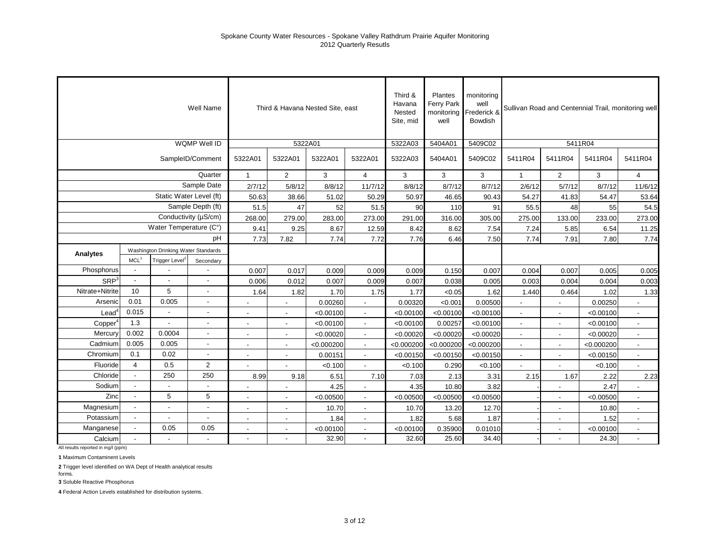|                  |                          |                                     | Well Name                |                | Third & Havana Nested Site, east |            |                          | Third &<br>Havana<br>Nested<br>Site, mid | Plantes<br>Ferry Park<br>monitoring<br>well | monitoring<br>well<br>Frederick &<br>Bowdish |                |                |            | Sullivan Road and Centennial Trail, monitoring well |
|------------------|--------------------------|-------------------------------------|--------------------------|----------------|----------------------------------|------------|--------------------------|------------------------------------------|---------------------------------------------|----------------------------------------------|----------------|----------------|------------|-----------------------------------------------------|
|                  |                          |                                     | WQMP Well ID             |                | 5322A01                          |            |                          | 5322A03                                  | 5404A01                                     | 5409C02                                      |                |                | 5411R04    |                                                     |
|                  |                          |                                     | SampleID/Comment         | 5322A01        | 5322A01                          | 5322A01    | 5322A01                  | 5322A03                                  | 5404A01                                     | 5409C02                                      | 5411R04        | 5411R04        | 5411R04    | 5411R04                                             |
|                  |                          |                                     | Quarter                  | $\mathbf{1}$   | $\overline{2}$                   | 3          | $\overline{4}$           | 3                                        | 3                                           | 3                                            | $\mathbf{1}$   | $\overline{2}$ | 3          | 4                                                   |
|                  |                          |                                     | Sample Date              | 2/7/12         | 5/8/12                           | 8/8/12     | 11/7/12                  | 8/8/12                                   | 8/7/12                                      | 8/7/12                                       | 2/6/12         | 5/7/12         | 8/7/12     | 11/6/12                                             |
|                  |                          |                                     | Static Water Level (ft)  | 50.63          | 38.66                            | 51.02      | 50.29                    | 50.97                                    | 46.65                                       | 90.43                                        | 54.27          | 41.83          | 54.47      | 53.64                                               |
|                  |                          |                                     | Sample Depth (ft)        | 51.5           | 47                               | 52         | 51.5                     | 90                                       | 110                                         | 91                                           | 55.5           | 48             | 55         | 54.5                                                |
|                  |                          |                                     | Conductivity (µS/cm)     | 268.00         | 279.00                           | 283.00     | 273.00                   | 291.00                                   | 316.00                                      | 305.00                                       | 275.00         | 133.00         | 233.00     | 273.00                                              |
|                  |                          | Water Temperature (C°)              |                          | 9.41           | 9.25                             | 8.67       | 12.59                    | 8.42                                     | 8.62                                        | 7.54                                         | 7.24           | 5.85           | 6.54       | 11.25                                               |
|                  |                          |                                     | pH                       | 7.73           | 7.82                             | 7.74       | 7.72                     | 7.76                                     | 6.46                                        | 7.50                                         | 7.74           | 7.91           | 7.80       | 7.74                                                |
| Analytes         |                          | Washington Drinking Water Standards |                          |                |                                  |            |                          |                                          |                                             |                                              |                |                |            |                                                     |
|                  | MCL <sup>1</sup>         | Trigger Level <sup>2</sup>          | Secondary                |                |                                  |            |                          |                                          |                                             |                                              |                |                |            |                                                     |
| Phosphorus       |                          |                                     |                          | 0.007          | 0.017                            | 0.009      | 0.009                    | 0.009                                    | 0.150                                       | 0.007                                        | 0.004          | 0.007          | 0.005      | 0.005                                               |
| SRP <sup>3</sup> |                          |                                     | $\overline{a}$           | 0.006          | 0.012                            | 0.007      | 0.009                    | 0.007                                    | 0.038                                       | 0.005                                        | 0.003          | 0.004          | 0.004      | 0.003                                               |
| Nitrate+Nitrite  | 10                       | 5                                   | $\overline{\phantom{a}}$ | 1.64           | 1.82                             | 1.70       | 1.75                     | 1.77                                     | < 0.05                                      | 1.62                                         | 1.440          | 0.464          | 1.02       | 1.33                                                |
| Arsenic          | 0.01                     | 0.005                               | $\blacksquare$           |                | ÷,                               | 0.00260    | $\overline{a}$           | 0.00320                                  | < 0.001                                     | 0.00500                                      | L.             |                | 0.00250    |                                                     |
| Lead             | 0.015                    |                                     | $\overline{a}$           |                |                                  | < 0.00100  |                          | < 0.00100                                | < 0.00100                                   | < 0.00100                                    |                |                | < 0.00100  | $\blacksquare$                                      |
| Copper           | 1.3                      |                                     | $\overline{\phantom{a}}$ |                | $\overline{\phantom{a}}$         | < 0.00100  | $\overline{\phantom{a}}$ | < 0.00100                                | 0.00257                                     | < 0.00100                                    | $\overline{a}$ | $\blacksquare$ | < 0.00100  | $\blacksquare$                                      |
| Mercury          | 0.002                    | 0.0004                              | $\overline{\phantom{a}}$ | $\blacksquare$ | $\blacksquare$                   | < 0.00020  | $\overline{\phantom{a}}$ | < 0.00020                                | < 0.00020                                   | < 0.00020                                    | ÷,             | $\blacksquare$ | < 0.00020  | $\overline{\phantom{a}}$                            |
| Cadmium          | 0.005                    | 0.005                               | $\blacksquare$           |                | $\overline{a}$                   | < 0.000200 | $\mathbf{r}$             | < 0.000200                               | < 0.000200                                  | < 0.000200                                   | $\overline{a}$ | $\sim$         | < 0.000200 | $\overline{a}$                                      |
| Chromium         | 0.1                      | 0.02                                | $\blacksquare$           |                | $\blacksquare$                   | 0.00151    | ÷.                       | < 0.00150                                | < 0.00150                                   | < 0.00150                                    | $\blacksquare$ |                | < 0.00150  |                                                     |
| Fluoride         | $\overline{4}$           | 0.5                                 | $\overline{2}$           |                |                                  | < 0.100    | $\overline{a}$           | < 0.100                                  | 0.290                                       | < 0.100                                      |                |                | < 0.100    |                                                     |
| Chloride         | $\overline{\phantom{a}}$ | 250                                 | 250                      | 8.99           | 9.18                             | 6.51       | 7.10                     | 7.03                                     | 2.13                                        | 3.31                                         | 2.15           | 1.67           | 2.22       | 2.23                                                |
| Sodium           |                          |                                     |                          |                |                                  | 4.25       |                          | 4.35                                     | 10.80                                       | 3.82                                         |                |                | 2.47       |                                                     |
| Zinc             |                          | 5                                   | 5                        |                | $\overline{\phantom{a}}$         | < 0.00500  | $\overline{\phantom{a}}$ | < 0.00500                                | < 0.00500                                   | < 0.00500                                    |                | $\blacksquare$ | < 0.00500  | $\blacksquare$                                      |
| Magnesium        | $\overline{\phantom{a}}$ |                                     | $\overline{\phantom{a}}$ | $\blacksquare$ | $\blacksquare$                   | 10.70      | $\blacksquare$           | 10.70                                    | 13.20                                       | 12.70                                        |                | $\blacksquare$ | 10.80      | $\blacksquare$                                      |
| Potassium        | $\overline{\phantom{a}}$ |                                     | $\blacksquare$           | $\overline{a}$ | $\sim$                           | 1.84       | $\mathbf{r}$             | 1.82                                     | 5.68                                        | 1.87                                         |                | $\sim$         | 1.52       | $\overline{a}$                                      |
| Manganese        | $\blacksquare$           | 0.05                                | 0.05                     |                | $\overline{\phantom{a}}$         | < 0.00100  | $\blacksquare$           | < 0.00100                                | 0.35900                                     | 0.01010                                      |                | $\blacksquare$ | < 0.00100  | $\blacksquare$                                      |
| Calcium          |                          |                                     |                          |                |                                  | 32.90      | $\overline{\phantom{a}}$ | 32.60                                    | 25.60                                       | 34.40                                        |                |                | 24.30      |                                                     |

All results reported in mg/l (ppm)

**1** Maximum Contaminent Levels

**2** Trigger level identified on WA Dept of Health analytical results

forms. **3** Soluble Reactive Phosphorus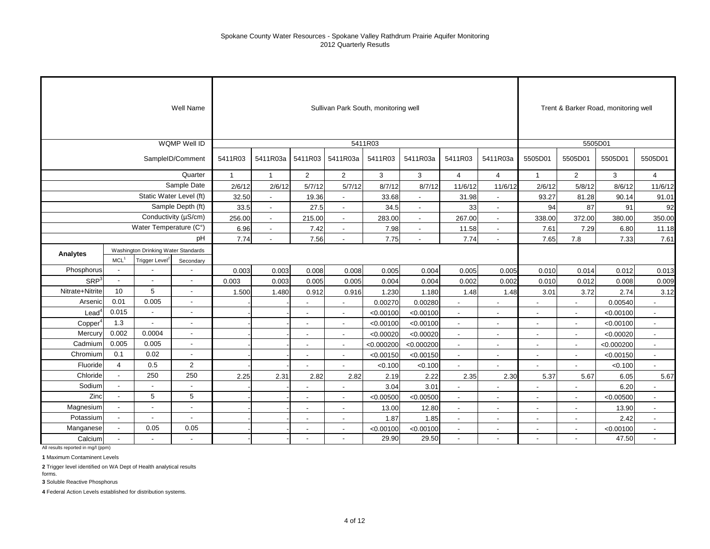|                   |                  |                                     | Well Name                |              |                          |                          | Sullivan Park South, monitoring well |            |                |                          |                          |                          | Trent & Barker Road, monitoring well |            |                |
|-------------------|------------------|-------------------------------------|--------------------------|--------------|--------------------------|--------------------------|--------------------------------------|------------|----------------|--------------------------|--------------------------|--------------------------|--------------------------------------|------------|----------------|
|                   |                  |                                     | WQMP Well ID             |              |                          |                          |                                      | 5411R03    |                |                          |                          |                          |                                      | 5505D01    |                |
|                   |                  |                                     | SampleID/Comment         | 5411R03      | 5411R03a                 | 5411R03                  | 5411R03a                             | 5411R03    | 5411R03a       | 5411R03                  | 5411R03a                 | 5505D01                  | 5505D01                              | 5505D01    | 5505D01        |
|                   |                  |                                     | Quarter                  | $\mathbf{1}$ | $\mathbf{1}$             | $\overline{2}$           | $\overline{2}$                       | 3          | 3              | $\overline{4}$           | $\overline{4}$           | $\mathbf{1}$             | $\overline{2}$                       | 3          | $\overline{4}$ |
|                   |                  |                                     | Sample Date              | 2/6/12       | 2/6/12                   | 5/7/12                   | 5/7/12                               | 8/7/12     | 8/7/12         | 11/6/12                  | 11/6/12                  | 2/6/12                   | 5/8/12                               | 8/6/12     | 11/6/12        |
|                   |                  |                                     | Static Water Level (ft)  | 32.50        | $\overline{\phantom{a}}$ | 19.36                    | $\blacksquare$                       | 33.68      | $\blacksquare$ | 31.98                    | $\blacksquare$           | 93.27                    | 81.28                                | 90.14      | 91.01          |
|                   |                  |                                     | Sample Depth (ft)        | 33.5         | $\blacksquare$           | 27.5                     | $\blacksquare$                       | 34.5       | $\sim$         | 33                       | $\blacksquare$           | 94                       | 87                                   | 91         | 92             |
|                   |                  |                                     | Conductivity (µS/cm)     | 256.00       | $\blacksquare$           | 215.00                   | $\overline{\phantom{a}}$             | 283.00     | $\blacksquare$ | 267.00                   | $\overline{\phantom{a}}$ | 338.00                   | 372.00                               | 380.00     | 350.00         |
|                   |                  | Water Temperature (C°)              |                          | 6.96         | $\blacksquare$           | 7.42                     | $\overline{\phantom{a}}$             | 7.98       | $\blacksquare$ | 11.58                    | $\blacksquare$           | 7.61                     | 7.29                                 | 6.80       | 11.18          |
|                   |                  |                                     | pH                       | 7.74         |                          | 7.56                     |                                      | 7.75       |                | 7.74                     |                          | 7.65                     | 7.8                                  | 7.33       | 7.61           |
| Analytes          |                  | Washington Drinking Water Standards |                          |              |                          |                          |                                      |            |                |                          |                          |                          |                                      |            |                |
|                   | MCL <sup>1</sup> | Trigger Level <sup>2</sup>          | Secondary                |              |                          |                          |                                      |            |                |                          |                          |                          |                                      |            |                |
| Phosphorus        | $\sim$           |                                     | $\overline{\phantom{a}}$ | 0.003        | 0.003                    | 0.008                    | 0.008                                | 0.005      | 0.004          | 0.005                    | 0.005                    | 0.010                    | 0.014                                | 0.012      | 0.013          |
| SRP <sup>3</sup>  | $\overline{a}$   | $\overline{a}$                      | $\overline{\phantom{a}}$ | 0.003        | 0.003                    | 0.005                    | 0.005                                | 0.004      | 0.004          | 0.002                    | 0.002                    | 0.010                    | 0.012                                | 0.008      | 0.009          |
| Nitrate+Nitrite   | 10               | 5                                   | $\blacksquare$           | 1.500        | 1.480                    | 0.912                    | 0.916                                | 1.230      | 1.180          | 1.48                     | 1.48                     | 3.01                     | 3.72                                 | 2.74       | 3.12           |
| Arsenic           | 0.01             | 0.005                               | $\blacksquare$           |              |                          | $\overline{\phantom{a}}$ | $\overline{\phantom{a}}$             | 0.00270    | 0.00280        |                          | $\blacksquare$           |                          | $\overline{a}$                       | 0.00540    |                |
| Lead <sup>4</sup> | 0.015            |                                     | $\blacksquare$           |              |                          | $\overline{\phantom{a}}$ | $\overline{\phantom{a}}$             | < 0.00100  | < 0.00100      |                          |                          |                          |                                      | < 0.00100  | $\overline{a}$ |
| Copper            | 1.3              |                                     |                          |              |                          | $\blacksquare$           | $\blacksquare$                       | < 0.00100  | < 0.00100      | $\blacksquare$           | $\blacksquare$           | $\overline{\phantom{a}}$ |                                      | < 0.00100  | $\blacksquare$ |
| Mercury           | 0.002            | 0.0004                              | $\overline{\phantom{a}}$ |              |                          | $\overline{\phantom{a}}$ | $\overline{\phantom{a}}$             | < 0.00020  | < 0.00020      | $\overline{\phantom{a}}$ | $\overline{\phantom{a}}$ | $\overline{\phantom{a}}$ | $\overline{\phantom{a}}$             | < 0.00020  | $\sim$         |
| Cadmium           | 0.005            | 0.005                               | $\blacksquare$           |              |                          | $\blacksquare$           | $\overline{\phantom{a}}$             | < 0.000200 | < 0.000200     | $\blacksquare$           | $\blacksquare$           | $\blacksquare$           | $\sim$                               | < 0.000200 | $\blacksquare$ |
| Chromium          | 0.1              | 0.02                                | $\blacksquare$           |              |                          | $\overline{\phantom{a}}$ | $\overline{\phantom{a}}$             | < 0.00150  | < 0.00150      | $\blacksquare$           | $\blacksquare$           | $\sim$                   | $\overline{\phantom{a}}$             | < 0.00150  | $\blacksquare$ |
| Fluoride          | $\overline{4}$   | 0.5                                 | $\overline{2}$           |              |                          |                          |                                      | < 0.100    | < 0.100        |                          |                          |                          |                                      | < 0.100    |                |
| Chloride          | $\blacksquare$   | 250                                 | 250                      | 2.25         | 2.31                     | 2.82                     | 2.82                                 | 2.19       | 2.22           | 2.35                     | 2.30                     | 5.37                     | 5.67                                 | 6.05       | 5.67           |
| Sodium            | $\sim$           |                                     | $\blacksquare$           |              |                          |                          |                                      | 3.04       | 3.01           |                          |                          |                          |                                      | 6.20       |                |
| Zinc              | $\overline{a}$   | 5                                   | 5                        |              |                          |                          |                                      | < 0.00500  | < 0.00500      |                          |                          |                          |                                      | < 0.00500  |                |
| Magnesium         | $\sim$           | $\sim$                              | $\blacksquare$           |              |                          | $\overline{\phantom{a}}$ | $\overline{\phantom{a}}$             | 13.00      | 12.80          | $\blacksquare$           | $\overline{\phantom{a}}$ | $\overline{\phantom{a}}$ | $\sim$                               | 13.90      | $\sim$         |
| Potassium         | $\sim$           | $\overline{\phantom{a}}$            | $\blacksquare$           |              |                          | $\overline{\phantom{a}}$ | $\overline{a}$                       | 1.87       | 1.85           | $\blacksquare$           | $\blacksquare$           | $\overline{\phantom{a}}$ | $\overline{\phantom{a}}$             | 2.42       | $\blacksquare$ |
| Manganese         | $\blacksquare$   | 0.05                                | 0.05                     |              |                          | $\overline{\phantom{a}}$ | $\blacksquare$                       | < 0.00100  | < 0.00100      |                          | $\overline{\phantom{a}}$ |                          |                                      | < 0.00100  |                |
| Calcium           |                  |                                     | $\blacksquare$           |              |                          | $\overline{\phantom{a}}$ | $\overline{\phantom{a}}$             | 29.90      | 29.50          | $\blacksquare$           | $\blacksquare$           |                          |                                      | 47.50      | $\blacksquare$ |

All results reported in mg/l (ppm)

**1** Maximum Contaminent Levels

**2** Trigger level identified on WA Dept of Health analytical results

**3** Soluble Reactive Phosphorus

forms.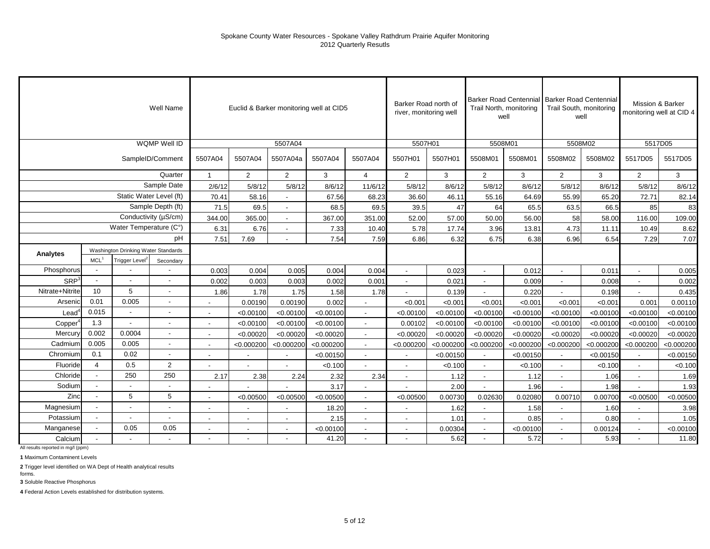|                  |                                     |                            | Well Name                |                          |                |                          | Euclid & Barker monitoring well at CID5 |                          | Barker Road north of<br>river, monitoring well |            | Trail North, monitoring<br>well |            | Barker Road Centennial Barker Road Centennial<br>Trail South, monitoring<br>well |            | Mission & Barker | monitoring well at CID 4 |
|------------------|-------------------------------------|----------------------------|--------------------------|--------------------------|----------------|--------------------------|-----------------------------------------|--------------------------|------------------------------------------------|------------|---------------------------------|------------|----------------------------------------------------------------------------------|------------|------------------|--------------------------|
|                  |                                     |                            | <b>WQMP Well ID</b>      |                          |                | 5507A04                  |                                         |                          | 5507H01                                        |            | 5508M01                         |            | 5508M02                                                                          |            | 5517D05          |                          |
|                  |                                     |                            | SampleID/Comment         | 5507A04                  | 5507A04        | 5507A04a                 | 5507A04                                 | 5507A04                  | 5507H01                                        | 5507H01    | 5508M01                         | 5508M01    | 5508M02                                                                          | 5508M02    | 5517D05          | 5517D05                  |
|                  |                                     |                            | Quarter                  |                          | $\overline{2}$ | $\overline{2}$           | 3                                       | $\overline{4}$           | 2                                              | 3          | $\overline{2}$                  | 3          | 2                                                                                | 3          | $\overline{2}$   | 3                        |
|                  |                                     |                            | Sample Date              | 2/6/12                   | 5/8/12         | 5/8/12                   | 8/6/12                                  | 11/6/12                  | 5/8/12                                         | 8/6/12     | 5/8/12                          | 8/6/12     | 5/8/12                                                                           | 8/6/12     | 5/8/12           | 8/6/12                   |
|                  |                                     | Static Water Level (ft)    |                          | 70.41                    | 58.16          | L.                       | 67.56                                   | 68.23                    | 36.60                                          | 46.11      | 55.16                           | 64.69      | 55.99                                                                            | 65.20      | 72.71            | 82.14                    |
|                  |                                     |                            | Sample Depth (ft)        | 71.5                     | 69.5           | $\overline{\phantom{a}}$ | 68.5                                    | 69.5                     | 39.5                                           | 47         | 64                              | 65.5       | 63.5                                                                             | 66.5       | 85               | 83                       |
|                  |                                     |                            | Conductivity (µS/cm)     | 344.00                   | 365.00         | $\sim$                   | 367.00                                  | 351.00                   | 52.00                                          | 57.00      | 50.00                           | 56.00      | 58                                                                               | 58.00      | 116.00           | 109.00                   |
|                  |                                     | Water Temperature (C°)     |                          | 6.31                     | 6.76           | ÷,                       | 7.33                                    | 10.40                    | 5.78                                           | 17.74      | 3.96                            | 13.81      | 4.73                                                                             | 11.11      | 10.49            | 8.62                     |
|                  | Washington Drinking Water Standards |                            |                          | 7.51                     | 7.69           |                          | 7.54                                    | 7.59                     | 6.86                                           | 6.32       | 6.75                            | 6.38       | 6.96                                                                             | 6.54       | 7.29             | 7.07                     |
| Analytes         |                                     |                            |                          |                          |                |                          |                                         |                          |                                                |            |                                 |            |                                                                                  |            |                  |                          |
|                  | $MCL$ <sup>1</sup>                  | Trigger Level <sup>2</sup> | Secondary                |                          |                |                          |                                         |                          |                                                |            |                                 |            |                                                                                  |            |                  |                          |
| Phosphorus       |                                     |                            |                          | 0.003                    | 0.004          | 0.005                    | 0.004                                   | 0.004                    | $\sim$                                         | 0.023      | $\sim$                          | 0.012      | $\blacksquare$                                                                   | 0.011      | $\sim$           | 0.005                    |
| SRP <sup>3</sup> |                                     | ÷,                         |                          | 0.002                    | 0.003          | 0.003                    | 0.002                                   | 0.001                    |                                                | 0.021      | $\overline{a}$                  | 0.009      |                                                                                  | 0.008      | $\blacksquare$   | 0.002                    |
| Nitrate+Nitrite  | 10                                  | 5                          | $\blacksquare$           | 1.86                     | 1.78           | 1.75                     | 1.58                                    | 1.78                     |                                                | 0.139      | $\overline{a}$                  | 0.220      | $\overline{\phantom{a}}$                                                         | 0.198      | $\mathbf{r}$     | 0.435                    |
| Arsenic          | 0.01                                | 0.005                      | $\blacksquare$           |                          | 0.00190        | 0.00190                  | 0.002                                   |                          | < 0.001                                        | < 0.001    | < 0.001                         | < 0.001    | < 0.001                                                                          | < 0.001    | 0.001            | 0.00110                  |
| Lead             | 0.015                               |                            |                          |                          | < 0.00100      | < 0.00100                | < 0.00100                               |                          | < 0.00100                                      | < 0.00100  | < 0.00100                       | < 0.00100  | < 0.00100                                                                        | < 0.00100  | < 0.00100        | < 0.00100                |
| Copper           | 1.3                                 | $\overline{\phantom{a}}$   | $\blacksquare$           | $\overline{\phantom{a}}$ | < 0.00100      | < 0.00100                | < 0.00100                               |                          | 0.00102                                        | < 0.00100  | < 0.00100                       | < 0.00100  | < 0.00100                                                                        | < 0.00100  | < 0.00100        | < 0.00100                |
| Mercury          | 0.002                               | 0.0004                     | $\overline{\phantom{a}}$ | $\overline{\phantom{a}}$ | < 0.00020      | < 0.00020                | < 0.00020                               | $\overline{\phantom{a}}$ | < 0.00020                                      | < 0.00020  | < 0.00020                       | < 0.00020  | < 0.00020                                                                        | < 0.00020  | < 0.00020        | < 0.00020                |
| Cadmium          | 0.005                               | 0.005                      | $\sim$                   | $\blacksquare$           | < 0.000200     | < 0.000200               | < 0.000200                              | $\sim$                   | < 0.000200                                     | < 0.000200 | < 0.000200                      | < 0.000200 | < 0.000200                                                                       | < 0.000200 | < 0.000200       | < 0.000200               |
| Chromium         | 0.1                                 | 0.02                       | $\blacksquare$           |                          |                | $\overline{a}$           | < 0.00150                               |                          |                                                | < 0.00150  | $\overline{a}$                  | < 0.00150  |                                                                                  | < 0.00150  | $\overline{a}$   | < 0.00150                |
| Fluoride         | $\overline{4}$                      | 0.5                        | $\overline{2}$           |                          |                |                          | < 0.100                                 |                          |                                                | < 0.100    | $\sim$                          | < 0.100    | $\blacksquare$                                                                   | < 0.100    | $\sim$           | < 0.100                  |
| Chloride         | $\blacksquare$                      | 250                        | 250                      | 2.17                     | 2.38           | 2.24                     | 2.32                                    | 2.34                     |                                                | 1.12       | $\blacksquare$                  | 1.12       | $\blacksquare$                                                                   | 1.06       | $\blacksquare$   | 1.69                     |
| Sodium           |                                     |                            |                          |                          |                |                          | 3.17                                    |                          |                                                | 2.00       |                                 | 1.96       |                                                                                  | 1.98       | $\overline{a}$   | 1.93                     |
| Zinc             |                                     | 5                          | 5                        |                          | < 0.00500      | < 0.00500                | < 0.00500                               |                          | < 0.00500                                      | 0.00730    | 0.02630                         | 0.02080    | 0.00710                                                                          | 0.00700    | < 0.00500        | < 0.00500                |
| Magnesium        |                                     | $\blacksquare$             | $\overline{\phantom{a}}$ | $\sim$                   | $\blacksquare$ | $\overline{\phantom{a}}$ | 18.20                                   | $\overline{\phantom{a}}$ | $\overline{\phantom{a}}$                       | 1.62       | $\sim$                          | 1.58       | $\blacksquare$                                                                   | 1.60       | $\sim$           | 3.98                     |
| Potassium        |                                     | $\overline{\phantom{a}}$   | $\blacksquare$           | $\blacksquare$           | $\blacksquare$ | $\blacksquare$           | 2.15                                    | $\overline{\phantom{a}}$ |                                                | 1.01       | $\sim$                          | 0.85       | $\blacksquare$                                                                   | 0.80       | $\sim$           | 1.05                     |
| Manganese        |                                     | 0.05                       | 0.05                     |                          | $\overline{a}$ | $\sim$                   | < 0.00100                               |                          |                                                | 0.00304    | $\overline{a}$                  | < 0.00100  | $\overline{\phantom{a}}$                                                         | 0.00124    | $\mathbf{r}$     | < 0.00100                |
| Calcium          |                                     |                            |                          |                          |                |                          | 41.20                                   | $\overline{\phantom{a}}$ |                                                | 5.62       | $\blacksquare$                  | 5.72       | $\blacksquare$                                                                   | 5.93       | $\blacksquare$   | 11.80                    |

All results reported in mg/l (ppm)

**1** Maximum Contaminent Levels

**2** Trigger level identified on WA Dept of Health analytical results

forms. **3** Soluble Reactive Phosphorus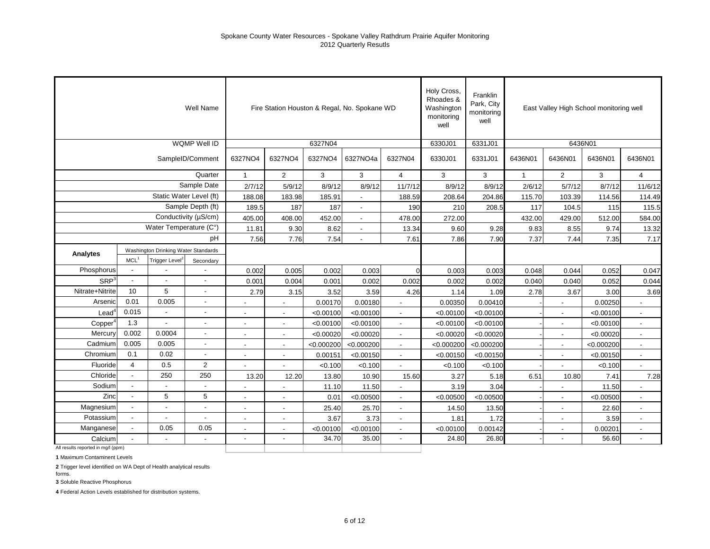|                                    |                          |                                     | Well Name                |                |                          | Fire Station Houston & Regal, No. Spokane WD |                          |                          | Holy Cross,<br>Rhoades &<br>Washington<br>monitoring<br>well | Franklin<br>Park, City<br>monitoring<br>well |              | East Valley High School monitoring well |            |                          |
|------------------------------------|--------------------------|-------------------------------------|--------------------------|----------------|--------------------------|----------------------------------------------|--------------------------|--------------------------|--------------------------------------------------------------|----------------------------------------------|--------------|-----------------------------------------|------------|--------------------------|
|                                    |                          |                                     | WQMP Well ID             |                |                          | 6327N04                                      |                          |                          | 6330J01                                                      | 6331J01                                      |              | 6436N01                                 |            |                          |
|                                    |                          |                                     | SampleID/Comment         | 6327NO4        | 6327NO4                  | 6327NO4                                      | 6327NO4a                 | 6327N04                  | 6330J01                                                      | 6331J01                                      | 6436N01      | 6436N01                                 | 6436N01    | 6436N01                  |
|                                    |                          |                                     | Quarter                  | $\overline{1}$ | $\overline{2}$           | 3                                            | 3                        | $\overline{4}$           | 3                                                            | $\overline{3}$                               | $\mathbf{1}$ | 2                                       | 3          | $\overline{4}$           |
|                                    |                          |                                     | Sample Date              | 2/7/12         | 5/9/12                   | 8/9/12                                       | 8/9/12                   | 11/7/12                  | 8/9/12                                                       | 8/9/12                                       | 2/6/12       | 5/7/12                                  | 8/7/12     | 11/6/12                  |
|                                    |                          |                                     | Static Water Level (ft)  | 188.08         | 183.98                   | 185.91                                       |                          | 188.59                   | 208.64                                                       | 204.86                                       | 115.70       | 103.39                                  | 114.56     | 114.49                   |
|                                    |                          |                                     | Sample Depth (ft)        | 189.5          | 187                      | 187                                          |                          | 190                      | 210                                                          | 208.5                                        | 117          | 104.5                                   | 115        | 115.5                    |
|                                    |                          |                                     | Conductivity (µS/cm)     | 405.00         | 408.00                   | 452.00                                       |                          | 478.00                   | 272.00                                                       |                                              | 432.00       | 429.00                                  | 512.00     | 584.00                   |
|                                    |                          | Water Temperature (C°)              |                          | 11.81          | 9.30                     | 8.62                                         | $\overline{\phantom{a}}$ | 13.34                    | 9.60                                                         | 9.28                                         | 9.83         | 8.55                                    | 9.74       | 13.32                    |
|                                    |                          |                                     | pH                       | 7.56           | 7.76                     | 7.54                                         | $\blacksquare$           | 7.61                     | 7.86                                                         | 7.90                                         | 7.37         | 7.44                                    | 7.35       | 7.17                     |
| Analytes                           |                          | Washington Drinking Water Standards |                          |                |                          |                                              |                          |                          |                                                              |                                              |              |                                         |            |                          |
|                                    | MCL <sup>1</sup>         | Trigger Level <sup>2</sup>          | Secondary                |                |                          |                                              |                          |                          |                                                              |                                              |              |                                         |            |                          |
| Phosphorus                         | $\blacksquare$           |                                     |                          | 0.002          | 0.005                    | 0.002                                        | 0.003                    | $\Omega$                 | 0.003                                                        | 0.003                                        | 0.048        | 0.044                                   | 0.052      | 0.047                    |
| SRP <sup>3</sup>                   |                          |                                     |                          | 0.001          | 0.004                    | 0.001                                        | 0.002                    | 0.002                    | 0.002                                                        | 0.002                                        | 0.040        | 0.040                                   | 0.052      | 0.044                    |
| Nitrate+Nitrite                    | 10                       | 5                                   | $\blacksquare$           | 2.79           | 3.15                     | 3.52                                         | 3.59                     | 4.26                     | 1.14                                                         | 1.09                                         | 2.78         | 3.67                                    | 3.00       | 3.69                     |
| Arsenic                            | 0.01                     | 0.005                               |                          | ÷              |                          | 0.00170                                      | 0.00180                  | $\overline{a}$           | 0.00350                                                      | 0.00410                                      |              | L.                                      | 0.00250    |                          |
| $\text{Lead}^4$                    | 0.015                    |                                     |                          |                |                          | < 0.00100                                    | < 0.00100                |                          | < 0.00100                                                    | < 0.00100                                    |              |                                         | < 0.00100  |                          |
| Copper                             | 1.3                      |                                     |                          |                |                          | < 0.00100                                    | < 0.00100                |                          | < 0.00100                                                    | < 0.00100                                    |              | $\overline{\phantom{a}}$                | < 0.00100  |                          |
| Mercury                            | 0.002                    | 0.0004                              |                          |                | $\overline{\phantom{a}}$ | < 0.00020                                    | < 0.00020                |                          | < 0.00020                                                    | < 0.00020                                    |              | $\overline{\phantom{a}}$                | < 0.00020  | $\overline{\phantom{a}}$ |
| Cadmium                            | 0.005                    | 0.005                               | $\overline{\phantom{a}}$ | $\blacksquare$ | $\blacksquare$           | < 0.000200                                   | < 0.000200               | $\sim$                   | < 0.000200                                                   | < 0.000200                                   |              | $\blacksquare$                          | < 0.000200 | $\overline{\phantom{a}}$ |
| Chromium                           | 0.1                      | 0.02                                | $\blacksquare$           | $\blacksquare$ | $\blacksquare$           | 0.00151                                      | < 0.00150                | $\overline{\phantom{a}}$ | < 0.00150                                                    | < 0.00150                                    |              | $\blacksquare$                          | < 0.00150  | $\overline{\phantom{a}}$ |
| Fluoride                           | $\overline{4}$           | 0.5                                 | 2                        |                | $\overline{a}$           | < 0.100                                      | < 0.100                  | $\overline{a}$           | < 0.100                                                      | < 0.100                                      |              | ÷,                                      | < 0.100    | $\overline{a}$           |
| Chloride                           | $\overline{\phantom{a}}$ | 250                                 | 250                      | 13.20          | 12.20                    | 13.80                                        | 10.90                    | 15.60                    | 3.27                                                         | 5.18                                         | 6.51         | 10.80                                   | 7.41       | 7.28                     |
| Sodium                             | $\overline{\phantom{a}}$ |                                     |                          |                |                          | 11.10                                        | 11.50                    |                          | 3.19                                                         | 3.04                                         |              |                                         | 11.50      |                          |
| Zinc                               | $\overline{\phantom{a}}$ | 5                                   | 5                        | $\blacksquare$ | $\blacksquare$           | 0.01                                         | < 0.00500                | $\blacksquare$           | < 0.00500                                                    | < 0.00500                                    |              | $\blacksquare$                          | < 0.00500  | $\blacksquare$           |
| Magnesium                          | $\blacksquare$           |                                     | $\blacksquare$           | $\blacksquare$ | $\blacksquare$           | 25.40                                        | 25.70                    | $\overline{\phantom{a}}$ | 14.50                                                        | 13.50                                        |              | $\blacksquare$                          | 22.60      | $\overline{\phantom{a}}$ |
| Potassium                          | $\sim$                   |                                     |                          | ÷,             |                          | 3.67                                         | 3.73                     | $\sim$                   | 1.81                                                         | 1.72                                         |              | ÷,                                      | 3.59       | $\overline{\phantom{a}}$ |
| Manganese                          | $\overline{a}$           | 0.05                                | 0.05                     | $\blacksquare$ | $\overline{\phantom{a}}$ | < 0.00100                                    | < 0.00100                |                          | < 0.00100                                                    | 0.00142                                      |              | $\overline{a}$                          | 0.00201    | $\blacksquare$           |
| Calcium                            | $\blacksquare$           |                                     |                          | $\overline{a}$ | $\blacksquare$           | 34.70                                        | 35.00                    | $\blacksquare$           | 24.80                                                        | 26.80                                        |              | $\blacksquare$                          | 56.60      | $\blacksquare$           |
| All results reported in mg/l (ppm) |                          |                                     |                          |                |                          |                                              |                          |                          |                                                              |                                              |              |                                         |            |                          |

**1** Maximum Contaminent Levels

**2** Trigger level identified on WA Dept of Health analytical results

**3** Soluble Reactive Phosphorus

forms.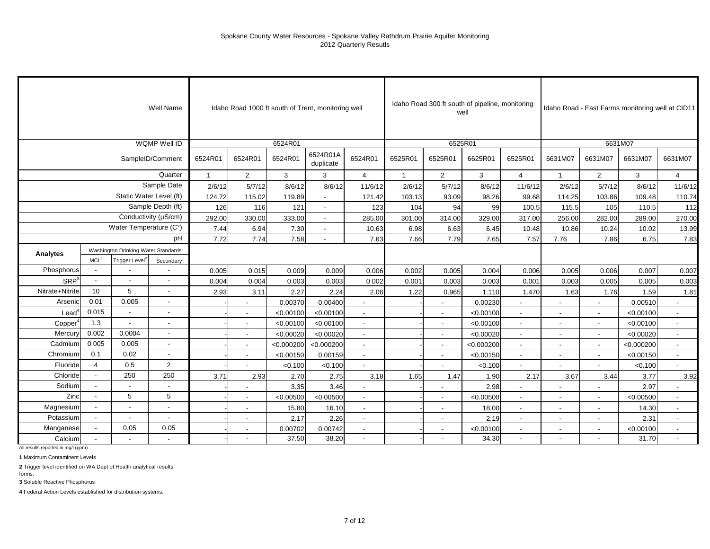|                     |                          |                                     | Well Name                |              |                          |            | Idaho Road 1000 ft south of Trent, monitoring well |                          |                |                          | Idaho Road 300 ft south of pipeline, monitoring<br>well |                          |                          |                          | Idaho Road - East Farms monitoring well at CID11 |                |
|---------------------|--------------------------|-------------------------------------|--------------------------|--------------|--------------------------|------------|----------------------------------------------------|--------------------------|----------------|--------------------------|---------------------------------------------------------|--------------------------|--------------------------|--------------------------|--------------------------------------------------|----------------|
|                     |                          |                                     | WQMP Well ID             |              |                          | 6524R01    |                                                    |                          |                | 6525R01                  |                                                         |                          |                          |                          | 6631M07                                          |                |
|                     |                          |                                     | SampleID/Comment         | 6524R01      | 6524R01                  | 6524R01    | 6524R01A<br>duplicate                              | 6524R01                  | 6525R01        | 6525R01                  | 6625R01                                                 | 6525R01                  | 6631M07                  | 6631M07                  | 6631M07                                          | 6631M07        |
|                     |                          |                                     | Quarter                  | $\mathbf{1}$ | 2                        | 3          | 3                                                  | $\overline{4}$           | $\overline{1}$ | $\overline{2}$           | 3                                                       | 4                        | $\mathbf{1}$             | 2                        | 3                                                | $\overline{4}$ |
|                     |                          |                                     | Sample Date              | 2/6/12       | 5/7/12                   | 8/6/12     | 8/6/12                                             | 11/6/12                  | 2/6/12         | 5/7/12                   | 8/6/12                                                  | 11/6/12                  | 2/6/12                   | 5/7/12                   | 8/6/12                                           | 11/6/12        |
|                     |                          |                                     | Static Water Level (ft)  | 124.72       | 115.02                   | 119.89     |                                                    | 121.42                   | 103.13         | 93.09                    | 98.26                                                   | 99.68                    | 114.25                   | 103.86                   | 109.48                                           | 110.74         |
|                     |                          |                                     | Sample Depth (ft)        | 126          | 116                      | 121        |                                                    | 123                      | 104            | 94                       | 99                                                      | 100.5                    | 115.5                    | 105                      | 110.5                                            | 112            |
|                     |                          |                                     | Conductivity (µS/cm)     | 292.00       | 330.00                   | 333.00     |                                                    | 285.00                   | 301.00         | 314.00                   | 329.00                                                  | 317.00                   | 256.00                   | 282.00                   | 289.00                                           | 270.00         |
|                     |                          | Water Temperature (C°)              |                          | 7.44         | 6.94                     | 7.30       | $\overline{\phantom{a}}$                           | 10.63                    | 6.98           | 6.63                     | 6.45                                                    | 10.48                    | 10.86                    | 10.24                    | 10.02                                            | 13.99          |
|                     |                          |                                     | pH                       | 7.72         | 7.74                     | 7.58       |                                                    | 7.63                     | 7.66           | 7.79                     | 7.65                                                    | 7.57                     | 7.76                     | 7.86                     | 6.75                                             | 7.83           |
| Analytes            |                          | Washington Drinking Water Standards |                          |              |                          |            |                                                    |                          |                |                          |                                                         |                          |                          |                          |                                                  |                |
|                     | MCL <sup>1</sup>         | Trigger Level <sup>2</sup>          | Secondary                |              |                          |            |                                                    |                          |                |                          |                                                         |                          |                          |                          |                                                  |                |
| Phosphorus          |                          |                                     |                          | 0.005        | 0.015                    | 0.009      | 0.009                                              | 0.006                    | 0.002          | 0.005                    | 0.004                                                   | 0.006                    | 0.005                    | 0.006                    | 0.007                                            | 0.007          |
| SRP <sup>3</sup>    | L.                       | $\overline{a}$                      | $\overline{a}$           | 0.004        | 0.004                    | 0.003      | 0.003                                              | 0.002                    | 0.001          | 0.003                    | 0.003                                                   | 0.001                    | 0.003                    | 0.005                    | 0.005                                            | 0.003          |
| Nitrate+Nitrite     | 10                       | 5                                   | $\blacksquare$           | 2.93         | 3.11                     | 2.27       | 2.24                                               | 2.06                     | 1.22           | 0.965                    | 1.110                                                   | 1.470                    | 1.63                     | 1.76                     | 1.59                                             | 1.81           |
| Arsenic             | 0.01                     | 0.005                               | $\blacksquare$           |              |                          | 0.00370    | 0.00400                                            | $\overline{a}$           |                | $\overline{\phantom{a}}$ | 0.00230                                                 | $\sim$                   | $\overline{a}$           | $\overline{\phantom{a}}$ | 0.00510                                          | $\sim$         |
| $\text{Lead}^4$     | 0.015                    | $\overline{\phantom{a}}$            |                          |              |                          | < 0.00100  | < 0.00100                                          |                          |                | $\overline{\phantom{a}}$ | < 0.00100                                               |                          | $\overline{a}$           |                          | < 0.00100                                        | $\sim$         |
| Copper <sup>4</sup> | 1.3                      | $\overline{a}$                      |                          |              |                          | < 0.00100  | < 0.00100                                          | $\blacksquare$           |                |                          | < 0.00100                                               |                          | $\blacksquare$           |                          | < 0.00100                                        | $\blacksquare$ |
| Mercury             | 0.002                    | 0.0004                              | $\overline{\phantom{a}}$ |              | $\overline{\phantom{a}}$ | < 0.00020  | < 0.00020                                          | $\overline{\phantom{a}}$ |                | $\overline{\phantom{a}}$ | < 0.00020                                               | $\overline{\phantom{a}}$ | $\overline{\phantom{a}}$ | $\overline{\phantom{a}}$ | < 0.00020                                        | $\sim$         |
| Cadmium             | 0.005                    | 0.005                               | $\overline{\phantom{a}}$ |              | $\overline{\phantom{a}}$ | < 0.000200 | < 0.000200                                         | $\overline{\phantom{a}}$ |                | $\blacksquare$           | < 0.000200                                              | $\sim$                   | $\overline{\phantom{a}}$ | $\overline{\phantom{a}}$ | < 0.000200                                       | $\blacksquare$ |
| Chromium            | 0.1                      | 0.02                                | Ĭ.                       |              | $\sim$                   | < 0.00150  | 0.00159                                            | $\mathbf{r}$             |                | $\blacksquare$           | < 0.00150                                               | $\overline{\phantom{a}}$ | $\overline{\phantom{a}}$ | $\blacksquare$           | < 0.00150                                        | $\blacksquare$ |
| Fluoride            | $\overline{4}$           | 0.5                                 | $\mathbf 2$              |              |                          | < 0.100    | < 0.100                                            |                          |                |                          | < 0.100                                                 |                          |                          |                          | < 0.100                                          | $\sim$         |
| Chloride            | $\overline{\phantom{a}}$ | 250                                 | 250                      | 3.71         | 2.93                     | 2.70       | 2.75                                               | 3.18                     | 1.65           | 1.47                     | 1.90                                                    | 2.17                     | 3.67                     | 3.44                     | 3.77                                             | 3.92           |
| Sodium              |                          | $\sim$                              |                          |              |                          | 3.35       | 3.46                                               |                          |                |                          | 2.98                                                    |                          |                          |                          | 2.97                                             |                |
| Zinc                |                          | 5                                   | 5                        |              |                          | < 0.00500  | < 0.00500                                          |                          |                |                          | < 0.00500                                               |                          |                          |                          | < 0.00500                                        |                |
| Magnesium           |                          | $\overline{a}$                      | $\overline{a}$           |              | $\sim$                   | 15.80      | 16.10                                              | $\overline{\phantom{a}}$ |                | $\blacksquare$           | 18.00                                                   | $\sim$                   | $\overline{\phantom{a}}$ | $\overline{\phantom{a}}$ | 14.30                                            | $\sim$         |
| Potassium           |                          | $\blacksquare$                      | Ĭ.                       |              | $\overline{\phantom{a}}$ | 2.17       | 2.26                                               | $\blacksquare$           |                | $\blacksquare$           | 2.19                                                    | $\sim$                   | $\blacksquare$           | $\overline{\phantom{a}}$ | 2.31                                             | $\blacksquare$ |
| Manganese           |                          | 0.05                                | 0.05                     |              |                          | 0.00702    | 0.00742                                            | $\blacksquare$           |                | $\blacksquare$           | < 0.00100                                               |                          | $\blacksquare$           |                          | < 0.00100                                        | $\mathbf{r}$   |
| Calcium             |                          |                                     | $\overline{\phantom{a}}$ |              |                          | 37.50      | 38.20                                              | $\overline{\phantom{a}}$ |                |                          | 34.30                                                   | $\overline{\phantom{a}}$ |                          |                          | 31.70                                            | $\blacksquare$ |

All results reported in mg/l (ppm)

**1** Maximum Contaminent Levels

**2** Trigger level identified on WA Dept of Health analytical results

forms.

**3** Soluble Reactive Phosphorus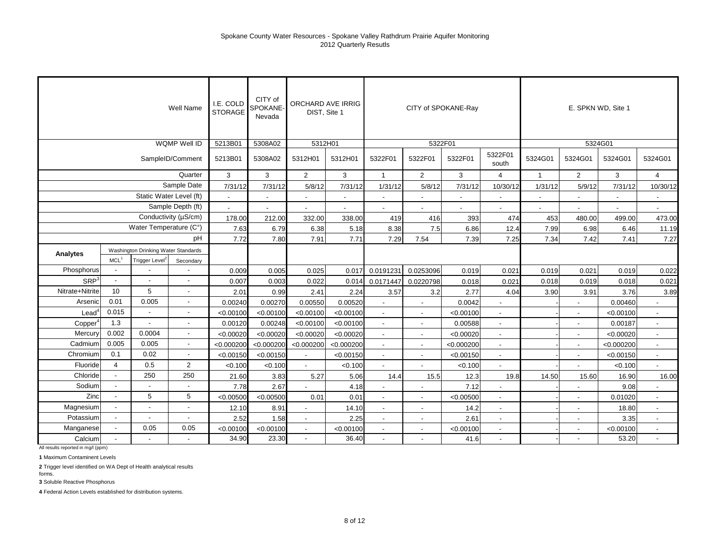|                          |                                                             |                          | Well Name                | I.E. COLD<br><b>STORAGE</b> | CITY of<br>SPOKANE-<br>Nevada | ORCHARD AVE IRRIG<br>DIST. Site 1 |            |                          |                          | CITY of SPOKANE-Ray |                          |                          |                          | E. SPKN WD, Site 1 |                          |
|--------------------------|-------------------------------------------------------------|--------------------------|--------------------------|-----------------------------|-------------------------------|-----------------------------------|------------|--------------------------|--------------------------|---------------------|--------------------------|--------------------------|--------------------------|--------------------|--------------------------|
|                          |                                                             |                          | <b>WQMP Well ID</b>      | 5213B01                     | 5308A02                       | 5312H01                           |            |                          |                          | 5322F01             |                          |                          |                          | 5324G01            |                          |
|                          |                                                             |                          | SampleID/Comment         | 5213B01                     | 5308A02                       | 5312H01                           | 5312H01    | 5322F01                  | 5322F01                  | 5322F01             | 5322F01<br>south         | 5324G01                  | 5324G01                  | 5324G01            | 5324G01                  |
|                          |                                                             |                          | Quarter                  | 3                           | 3                             | $\overline{2}$                    | 3          | $\mathbf{1}$             | $\overline{2}$           | 3                   | $\overline{4}$           | $\mathbf{1}$             | $\overline{2}$           | 3                  | $\overline{4}$           |
|                          |                                                             |                          | Sample Date              | 7/31/12                     | 7/31/12                       | 5/8/12                            | 7/31/12    | 1/31/12                  | 5/8/12                   | 7/31/12             | 10/30/12                 | 1/31/12                  | 5/9/12                   | 7/31/12            | 10/30/12                 |
|                          |                                                             |                          | Static Water Level (ft)  | $\blacksquare$              | $\blacksquare$                | $\blacksquare$                    |            | $\blacksquare$           |                          | $\sim$              | $\overline{\phantom{a}}$ | $\overline{\phantom{a}}$ | $\blacksquare$           |                    | $\blacksquare$           |
|                          |                                                             |                          | Sample Depth (ft)        | $\overline{a}$              |                               | $\overline{a}$                    |            | $\overline{a}$           |                          | $\overline{a}$      | $\overline{a}$           |                          | $\overline{a}$           |                    | $\ddot{\phantom{a}}$     |
|                          |                                                             |                          | Conductivity (µS/cm)     | 178.00                      | 212.00                        | 332.00                            | 338.00     | 419                      | 416                      | 393                 | 474                      | 453                      | 480.00                   | 499.00             | 473.00                   |
|                          |                                                             | Water Temperature (C°)   |                          | 7.63                        | 6.79                          | 6.38                              | 5.18       | 8.38                     | 7.5                      | 6.86                | 12.4                     | 7.99                     | 6.98                     | 6.46               | 11.19                    |
|                          | Washington Drinking Water Standards                         |                          | pH                       | 7.72                        | 7.80                          | 7.91                              | 7.71       | 7.29                     | 7.54                     | 7.39                | 7.25                     | 7.34                     | 7.42                     | 7.41               | 7.27                     |
| Analytes                 |                                                             |                          |                          |                             |                               |                                   |            |                          |                          |                     |                          |                          |                          |                    |                          |
|                          | MCL <sup>1</sup><br>Trigger Level <sup>2</sup><br>Secondary |                          |                          |                             |                               |                                   |            |                          |                          |                     |                          |                          |                          |                    |                          |
| Phosphorus               | $\overline{\phantom{a}}$                                    |                          |                          | 0.009                       | 0.005                         | 0.025                             | 0.017      | 0.0191231                | 0.0253096                | 0.019               | 0.021                    | 0.019                    | 0.021                    | 0.019              | 0.022                    |
| $SRP^3$                  |                                                             |                          |                          | 0.007                       | 0.003                         | 0.022                             | 0.014      | 0.0171447                | 0.0220798                | 0.018               | 0.021                    | 0.018                    | 0.019                    | 0.018              | 0.021                    |
| Nitrate+Nitrite          | 10                                                          | 5                        | $\overline{\phantom{a}}$ | 2.01                        | 0.99                          | 2.41                              | 2.24       | 3.57                     | 3.2                      | 2.77                | 4.04                     | 3.90                     | 3.91                     | 3.76               | 3.89                     |
| Arsenic                  | 0.01                                                        | 0.005                    |                          | 0.00240                     | 0.00270                       | 0.00550                           | 0.00520    |                          |                          | 0.0042              | $\overline{a}$           |                          |                          | 0.00460            |                          |
| $\text{Lead}^{\text{c}}$ | 0.015                                                       |                          |                          | < 0.00100                   | < 0.00100                     | < 0.00100                         | < 0.00100  |                          |                          | < 0.00100           | $\overline{\phantom{a}}$ |                          |                          | < 0.00100          |                          |
| Copper <sup>®</sup>      | 1.3                                                         | $\blacksquare$           |                          | 0.00120                     | 0.00248                       | < 0.00100                         | < 0.00100  | $\overline{\phantom{a}}$ | $\overline{\phantom{a}}$ | 0.00588             | $\overline{\phantom{a}}$ |                          |                          | 0.00187            | $\overline{\phantom{a}}$ |
| Mercury                  | 0.002                                                       | 0.0004                   |                          | < 0.00020                   | < 0.00020                     | < 0.00020                         | < 0.00020  | $\overline{\phantom{a}}$ | $\overline{\phantom{a}}$ | < 0.00020           | $\sim$                   |                          | $\overline{\phantom{a}}$ | < 0.00020          | $\sim$                   |
| Cadmium                  | 0.005                                                       | 0.005                    | $\overline{\phantom{a}}$ | < 0.000200                  | < 0.000200                    | < 0.000200                        | < 0.000200 | $\overline{\phantom{a}}$ | $\blacksquare$           | < 0.000200          | $\blacksquare$           |                          |                          | < 0.000200         | $\blacksquare$           |
| Chromium                 | 0.1                                                         | 0.02                     | $\blacksquare$           | < 0.00150                   | < 0.00150                     | $\blacksquare$                    | < 0.00150  | $\blacksquare$           |                          | < 0.00150           | $\blacksquare$           |                          |                          | < 0.00150          | $\blacksquare$           |
| Fluoride                 | 4                                                           | 0.5                      | $\overline{2}$           | < 0.100                     | < 0.100                       | $\blacksquare$                    | < 0.100    | $\blacksquare$           |                          | < 0.100             | $\blacksquare$           |                          |                          | < 0.100            | $\blacksquare$           |
| Chloride                 |                                                             | 250                      | 250                      | 21.60                       | 3.83                          | 5.27                              | 5.06       | 14.4                     | 15.5                     | 12.3                | 19.8                     | 14.50                    | 15.60                    | 16.90              | 16.00                    |
| Sodium                   |                                                             |                          |                          | 7.78                        | 2.67                          |                                   | 4.18       |                          |                          | 7.12                |                          |                          |                          | 9.08               |                          |
| Zinc                     |                                                             | 5                        | 5                        | < 0.00500                   | < 0.00500                     | 0.01                              | 0.01       | $\overline{\phantom{a}}$ | $\overline{\phantom{a}}$ | < 0.00500           | $\overline{\phantom{a}}$ |                          |                          | 0.01020            | $\overline{\phantom{a}}$ |
| Magnesium                | $\overline{\phantom{a}}$                                    | $\overline{\phantom{a}}$ |                          | 12.10                       | 8.91                          | $\blacksquare$                    | 14.10      | $\overline{\phantom{a}}$ |                          | 14.2                | $\blacksquare$           |                          | $\sim$                   | 18.80              | $\blacksquare$           |
| Potassium                | $\sim$                                                      | $\blacksquare$           |                          | 2.52                        | 1.58                          | $\overline{a}$                    | 2.25       | $\overline{\phantom{a}}$ | $\overline{\phantom{a}}$ | 2.61                | $\overline{a}$           |                          | $\sim$                   | 3.35               | $\overline{a}$           |
| Manganese                |                                                             | 0.05                     | 0.05                     | < 0.00100                   | < 0.00100                     | $\blacksquare$                    | < 0.00100  | $\blacksquare$           | $\overline{\phantom{a}}$ | < 0.00100           | $\blacksquare$           |                          |                          | < 0.00100          | $\blacksquare$           |
| Calcium                  |                                                             |                          |                          | 34.90                       | 23.30                         |                                   | 36.40      |                          |                          | 41.6                |                          |                          |                          | 53.20              |                          |

All results reported in mg/l (ppm)

**1** Maximum Contaminent Levels

**2** Trigger level identified on WA Dept of Health analytical results

forms. **3** Soluble Reactive Phosphorus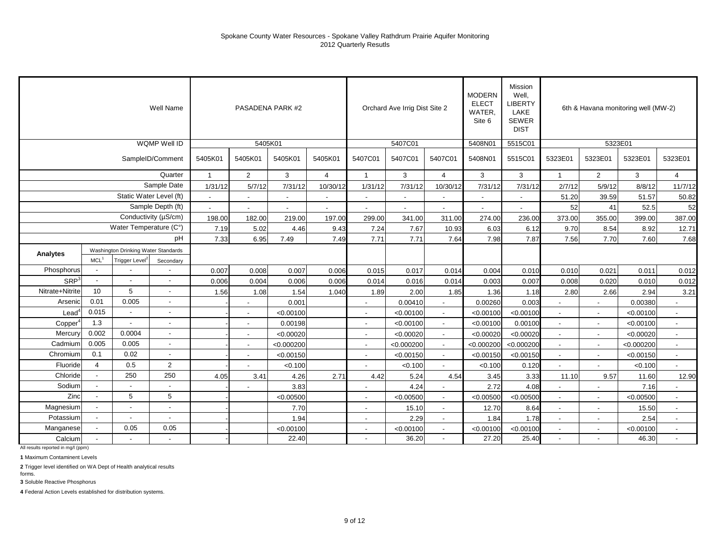|                  |                          |                                     | Well Name                |              |                          | PASADENA PARK #2 |                |                          | Orchard Ave Irrig Dist Site 2 |                          | <b>MODERN</b><br><b>ELECT</b><br><b>WATER</b><br>Site 6 | Mission<br>Well,<br><b>LIBERTY</b><br>LAKE<br><b>SEWER</b><br><b>DIST</b> |                          |                          | 6th & Havana monitoring well (MW-2) |                          |
|------------------|--------------------------|-------------------------------------|--------------------------|--------------|--------------------------|------------------|----------------|--------------------------|-------------------------------|--------------------------|---------------------------------------------------------|---------------------------------------------------------------------------|--------------------------|--------------------------|-------------------------------------|--------------------------|
|                  |                          |                                     | <b>WQMP Well ID</b>      |              | 5405K01                  |                  |                |                          | 5407C01                       |                          | 5408N01                                                 | 5515C01                                                                   |                          | 5323E01                  |                                     |                          |
|                  |                          |                                     | SampleID/Comment         | 5405K01      | 5405K01                  | 5405K01          | 5405K01        | 5407C01                  | 5407C01                       | 5407C01                  | 5408N01                                                 | 5515C01                                                                   | 5323E01                  | 5323E01                  | 5323E01                             | 5323E01                  |
|                  |                          |                                     | Quarter                  | $\mathbf{1}$ | $\overline{2}$           | 3                | $\overline{4}$ | $\mathbf{1}$             | 3                             | $\overline{4}$           | 3                                                       | 3                                                                         | $\overline{1}$           | $\overline{2}$           | 3                                   | $\overline{4}$           |
|                  |                          |                                     | Sample Date              | 1/31/12      | 5/7/12                   | 7/31/12          | 10/30/12       | 1/31/12                  | 7/31/12                       | 10/30/12                 | 7/31/12                                                 | 7/31/12                                                                   | 2/7/12                   | 5/9/12                   | 8/8/12                              | 11/7/12                  |
|                  |                          | Static Water Level (ft)             |                          | $\mathbf{r}$ | $\blacksquare$           | $\overline{a}$   |                | $\blacksquare$           | $\blacksquare$                |                          | $\blacksquare$                                          | $\blacksquare$                                                            | 51.20                    | 39.59                    | 51.57                               | 50.82                    |
|                  |                          |                                     | Sample Depth (ft)        |              |                          |                  |                |                          |                               |                          |                                                         |                                                                           | 52                       | 41                       | 52.5                                | 52                       |
|                  |                          |                                     | Conductivity (µS/cm)     | 198.00       | 182.00                   | 219.00           | 197.00         | 299.00                   | 341.00                        | 311.00                   | 274.00                                                  | 236.00                                                                    | 373.00                   | 355.00                   | 399.00                              | 387.00                   |
|                  |                          | Water Temperature (C°)              |                          | 7.19         | 5.02                     | 4.46             | 9.43           | 7.24                     | 7.67                          | 10.93                    | 6.03                                                    | 6.12                                                                      | 9.70                     | 8.54                     | 8.92                                | 12.71                    |
|                  |                          |                                     | pH                       | 7.33         | 6.95                     | 7.49             | 7.49           | 7.71                     | 7.71                          | 7.64                     | 7.98                                                    | 7.87                                                                      | 7.56                     | 7.70                     | 7.60                                | 7.68                     |
| Analytes         |                          | Washington Drinking Water Standards |                          |              |                          |                  |                |                          |                               |                          |                                                         |                                                                           |                          |                          |                                     |                          |
|                  | MCL <sup>1</sup>         | Trigger Level                       | Secondary                |              |                          |                  |                |                          |                               |                          |                                                         |                                                                           |                          |                          |                                     |                          |
| Phosphorus       |                          |                                     |                          | 0.007        | 0.008                    | 0.007            | 0.006          | 0.015                    | 0.017                         | 0.014                    | 0.004                                                   | 0.010                                                                     | 0.010                    | 0.021                    | 0.011                               | 0.012                    |
| SRP <sup>3</sup> | $\overline{\phantom{a}}$ |                                     |                          | 0.006        | 0.004                    | 0.006            | 0.006          | 0.014                    | 0.016                         | 0.014                    | 0.003                                                   | 0.007                                                                     | 0.008                    | 0.020                    | 0.010                               | 0.012                    |
| Nitrate+Nitrite  | 10                       | 5                                   | $\sim$                   | 1.56         | 1.08                     | 1.54             | 1.040          | 1.89                     | 2.00                          | 1.85                     | 1.36                                                    | 1.18                                                                      | 2.80                     | 2.66                     | 2.94                                | 3.21                     |
| Arsenic          | 0.01                     | 0.005                               | $\overline{\phantom{0}}$ |              | $\overline{\phantom{a}}$ | 0.001            |                | $\overline{a}$           | 0.00410                       | $\blacksquare$           | 0.00260                                                 | 0.003                                                                     |                          |                          | 0.00380                             |                          |
| $\text{Lead}^4$  | 0.015                    | $\sim$                              |                          |              | $\overline{\phantom{a}}$ | < 0.00100        |                | $\overline{a}$           | < 0.00100                     |                          | < 0.00100                                               | < 0.00100                                                                 | $\overline{a}$           |                          | < 0.00100                           | $\overline{\phantom{a}}$ |
| Copper           | 1.3                      |                                     |                          |              | $\overline{\phantom{a}}$ | 0.00198          |                | $\overline{\phantom{a}}$ | < 0.00100                     | $\overline{\phantom{a}}$ | < 0.00100                                               | 0.00100                                                                   | $\overline{\phantom{a}}$ |                          | < 0.00100                           | $\overline{\phantom{a}}$ |
| Mercury          | 0.002                    | 0.0004                              | $\overline{\phantom{a}}$ |              | $\sim$                   | < 0.00020        |                | $\sim$                   | < 0.00020                     | $\overline{\phantom{a}}$ | < 0.00020                                               | < 0.00020                                                                 | $\overline{\phantom{a}}$ | $\overline{\phantom{a}}$ | < 0.00020                           | $\overline{\phantom{a}}$ |
| Cadmium          | 0.005                    | 0.005                               | $\overline{\phantom{a}}$ |              | $\blacksquare$           | < 0.000200       |                | $\blacksquare$           | < 0.000200                    | $\blacksquare$           | < 0.000200                                              | < 0.000200                                                                | $\overline{a}$           | $\overline{\phantom{a}}$ | < 0.000200                          | $\blacksquare$           |
| Chromium         | 0.1                      | 0.02                                | $\overline{\phantom{a}}$ |              | $\blacksquare$           | < 0.00150        |                | $\blacksquare$           | < 0.00150                     | $\blacksquare$           | < 0.00150                                               | < 0.00150                                                                 | $\blacksquare$           |                          | < 0.00150                           | $\overline{\phantom{a}}$ |
| Fluoride         | $\overline{4}$           | 0.5                                 | $\overline{c}$           |              |                          | < 0.100          |                | $\blacksquare$           | < 0.100                       |                          | < 0.100                                                 | 0.120                                                                     |                          |                          | < 0.100                             |                          |
| Chloride         | $\sim$                   | 250                                 | 250                      | 4.05         | 3.41                     | 4.26             | 2.71           | 4.42                     | 5.24                          | 4.54                     | 3.45                                                    | 3.33                                                                      | 11.10                    | 9.57                     | 11.60                               | 12.90                    |
| Sodium           | $\overline{a}$           |                                     |                          |              |                          | 3.83             |                |                          | 4.24                          |                          | 2.72                                                    | 4.08                                                                      |                          |                          | 7.16                                |                          |
| Zinc             |                          | 5                                   | 5                        |              |                          | < 0.00500        |                | $\overline{\phantom{a}}$ | < 0.00500                     |                          | < 0.00500                                               | < 0.00500                                                                 | $\overline{a}$           |                          | < 0.00500                           | $\overline{\phantom{a}}$ |
| Magnesium        |                          | $\blacksquare$                      | $\overline{\phantom{a}}$ | 7.70         |                          |                  |                | $\overline{\phantom{a}}$ | 15.10                         | $\overline{\phantom{a}}$ | 12.70                                                   | 8.64                                                                      | $\overline{a}$           | $\blacksquare$           | 15.50                               | $\overline{\phantom{a}}$ |
| Potassium        |                          | $\blacksquare$                      | $\sim$                   | 1.94         |                          |                  |                | $\blacksquare$           | 2.29                          | $\blacksquare$           | 1.84                                                    | 1.78                                                                      | L.                       |                          | 2.54                                | $\blacksquare$           |
| Manganese        |                          | 0.05                                | 0.05                     |              |                          | < 0.00100        |                | $\overline{\phantom{a}}$ | < 0.00100                     | $\overline{\phantom{a}}$ | < 0.00100                                               | < 0.00100                                                                 | $\overline{a}$           |                          | < 0.00100                           | $\overline{\phantom{a}}$ |
| Calcium          |                          |                                     |                          |              |                          | 22.40            |                |                          | 36.20                         | $\blacksquare$           | 27.20                                                   | 25.40                                                                     | $\sim$                   |                          | 46.30                               | $\overline{a}$           |

All results reported in mg/l (ppm)

**1** Maximum Contaminent Levels

**2** Trigger level identified on WA Dept of Health analytical results

forms. **3** Soluble Reactive Phosphorus

**4** Federal Action Levels established for distribution systems.

9 of 12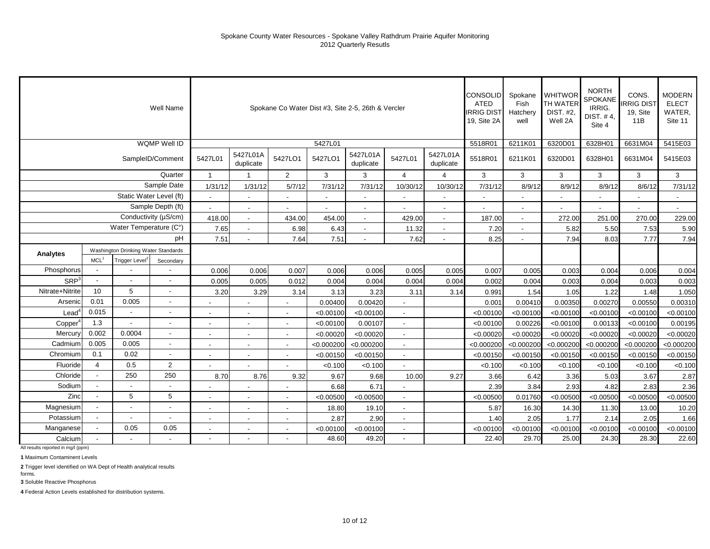|                   |                         |                                     | Well Name                |                          |                          |                          | Spokane Co Water Dist #3, Site 2-5, 26th & Vercler |                       |                          |                       | CONSOLID<br><b>ATED</b><br><b>IRRIG DIST</b><br>19, Site 2A | Spokane<br>Fish<br>Hatchery<br>well | <b>WHITWOR</b><br>TH WATER<br>DIST. #2,<br>Well 2A | <b>NORTH</b><br><b>SPOKANE</b><br>IRRIG.<br>DIST. #4,<br>Site 4 | CONS.<br><b>IRRIG DIST</b><br>19, Site<br>11B | <b>MODERN</b><br><b>ELECT</b><br>WATER,<br>Site 11 |
|-------------------|-------------------------|-------------------------------------|--------------------------|--------------------------|--------------------------|--------------------------|----------------------------------------------------|-----------------------|--------------------------|-----------------------|-------------------------------------------------------------|-------------------------------------|----------------------------------------------------|-----------------------------------------------------------------|-----------------------------------------------|----------------------------------------------------|
|                   |                         |                                     | WQMP Well ID             |                          |                          |                          | 5427L01                                            |                       |                          |                       | 5518R01                                                     | 6211K01                             | 6320D01                                            | 6328H01                                                         | 6631M04                                       | 5415E03                                            |
|                   |                         |                                     | SampleID/Comment         | 5427L01                  | 5427L01A<br>duplicate    | 5427LO1                  | 5427LO1                                            | 5427L01A<br>duplicate | 5427L01                  | 5427L01A<br>duplicate | 5518R01                                                     | 6211K01                             | 6320D01                                            | 6328H01                                                         | 6631M04                                       | 5415E03                                            |
|                   |                         |                                     | Quarter                  |                          |                          | $\overline{2}$           | 3                                                  | 3                     | $\overline{4}$           | 4                     | 3                                                           | 3                                   | 3                                                  | 3                                                               | 3                                             | 3                                                  |
|                   |                         |                                     | Sample Date              | 1/31/12                  | 1/31/12                  | 5/7/12                   | 7/31/12                                            | 7/31/12               | 10/30/12                 | 10/30/12              | 7/31/12                                                     | 8/9/12                              | 8/9/12                                             | 8/9/12                                                          | 8/6/12                                        | 7/31/12                                            |
|                   |                         | Static Water Level (ft)             |                          |                          |                          |                          |                                                    |                       | $\blacksquare$           |                       |                                                             |                                     |                                                    |                                                                 |                                               |                                                    |
|                   |                         |                                     | Sample Depth (ft)        |                          | $\overline{\phantom{a}}$ |                          |                                                    | $\blacksquare$        |                          | $\blacksquare$        |                                                             | $\overline{\phantom{a}}$            |                                                    |                                                                 |                                               |                                                    |
|                   |                         |                                     | Conductivity (µS/cm)     | 418.00                   | $\sim$                   | 434.00                   | 454.00                                             | $\sim$                | 429.00                   | $\sim$                | 187.00                                                      | $\overline{\phantom{a}}$            | 272.00                                             | 251.00                                                          | 270.00                                        | 229.00                                             |
|                   |                         | Water Temperature (C°)              |                          | 7.65                     |                          | 6.98                     | 6.43                                               | $\overline{a}$        | 11.32                    |                       | 7.20                                                        |                                     | 5.82                                               | 5.50                                                            | 7.53                                          | 5.90                                               |
|                   |                         |                                     | pH                       | 7.51                     |                          | 7.64                     | 7.51                                               |                       | 7.62                     |                       | 8.25                                                        |                                     | 7.94                                               | 8.03                                                            | 7.77                                          | 7.94                                               |
| Analytes          |                         | Washington Drinking Water Standards |                          |                          |                          |                          |                                                    |                       |                          |                       |                                                             |                                     |                                                    |                                                                 |                                               |                                                    |
|                   | MCL <sup>1</sup>        | Trigger Level <sup>2</sup>          | Secondary                |                          |                          |                          |                                                    |                       |                          |                       |                                                             |                                     |                                                    |                                                                 |                                               |                                                    |
| Phosphorus        |                         |                                     |                          | 0.006                    | 0.006                    | 0.007                    | 0.006                                              | 0.006                 | 0.005                    | 0.005                 | 0.007                                                       | 0.005                               | 0.003                                              | 0.004                                                           | 0.006                                         | 0.004                                              |
| SRP <sup>3</sup>  |                         |                                     |                          | 0.005                    | 0.005                    | 0.012                    | 0.004                                              | 0.004                 | 0.004                    | 0.004                 | 0.002                                                       | 0.004                               | 0.003                                              | 0.004                                                           | 0.003                                         | 0.003                                              |
| Nitrate+Nitrite   | 10                      | 5                                   |                          | 3.20                     | 3.29                     | 3.14                     | 3.13                                               | 3.23                  | 3.11                     | 3.14                  | 0.991                                                       | 1.54                                | 1.05                                               | 1.22                                                            | 1.48                                          | 1.050                                              |
| Arsenic           | 0.01                    | 0.005                               |                          |                          |                          |                          | 0.00400                                            | 0.00420               | ÷,                       |                       | 0.001                                                       | 0.00410                             | 0.00350                                            | 0.00270                                                         | 0.00550                                       | 0.00310                                            |
| $\textsf{Lead}^*$ | 0.015                   |                                     |                          |                          |                          |                          | < 0.00100                                          | < 0.00100             | $\overline{\phantom{a}}$ |                       | < 0.00100                                                   | < 0.00100                           | < 0.00100                                          | < 0.00100                                                       | < 0.00100                                     | < 0.00100                                          |
| Copper            | 1.3                     |                                     |                          | $\overline{\phantom{a}}$ | $\sim$                   | $\overline{\phantom{a}}$ | < 0.00100                                          | 0.00107               | $\overline{\phantom{a}}$ |                       | < 0.00100                                                   | 0.00226                             | < 0.00100                                          | 0.00133                                                         | < 0.00100                                     | 0.00195                                            |
| Mercury           | 0.002                   | 0.0004                              | $\overline{\phantom{a}}$ | $\sim$                   | $\overline{\phantom{a}}$ | $\overline{\phantom{a}}$ | < 0.00020                                          | < 0.00020             | $\blacksquare$           |                       | < 0.00020                                                   | < 0.00020                           | < 0.00020                                          | < 0.00020                                                       | < 0.00020                                     | < 0.00020                                          |
| Cadmium           | 0.005                   | 0.005                               |                          | $\overline{\phantom{a}}$ | $\blacksquare$           | $\overline{\phantom{a}}$ | < 0.000200                                         | < 0.000200            | $\overline{\phantom{a}}$ |                       | < 0.000200                                                  | < 0.000200                          | < 0.000200                                         | < 0.000200                                                      | < 0.000200                                    | < 0.000200                                         |
| Chromium          | 0.1                     | 0.02                                |                          |                          |                          |                          | < 0.00150                                          | < 0.00150             | $\overline{\phantom{a}}$ |                       | < 0.00150                                                   | < 0.00150                           | < 0.00150                                          | < 0.00150                                                       | < 0.00150                                     | < 0.00150                                          |
| Fluoride          | $\overline{\mathbf{A}}$ | 0.5                                 | 2                        |                          | $\overline{\phantom{a}}$ |                          | < 0.100                                            | < 0.100               | $\overline{a}$           |                       | < 0.100                                                     | < 0.100                             | < 0.100                                            | < 0.100                                                         | < 0.100                                       | < 0.100                                            |
| Chloride          |                         | 250                                 | 250                      | 8.70                     | 8.76                     | 9.32                     | 9.67                                               | 9.68                  | 10.00                    | 9.27                  | 3.66                                                        | 6.42                                | 3.36                                               | 5.03                                                            | 3.67                                          | 2.87                                               |
| Sodium            |                         |                                     |                          |                          |                          |                          | 6.68                                               | 6.71                  |                          |                       | 2.39                                                        | 3.84                                | 2.93                                               | 4.82                                                            | 2.83                                          | 2.36                                               |
| Zinc              |                         | 5                                   | 5                        |                          | $\overline{\phantom{a}}$ |                          | < 0.00500                                          | < 0.00500             | $\overline{\phantom{a}}$ |                       | < 0.00500                                                   | 0.01760                             | < 0.00500                                          | < 0.00500                                                       | < 0.00500                                     | < 0.00500                                          |
| Magnesium         |                         |                                     |                          | $\sim$                   | $\overline{\phantom{a}}$ | $\overline{\phantom{a}}$ | 18.80                                              | 19.10                 | $\blacksquare$           |                       | 5.87                                                        | 16.30                               | 14.30                                              | 11.30                                                           | 13.00                                         | 10.20                                              |
| Potassium         |                         | $\blacksquare$                      |                          | $\overline{\phantom{a}}$ | $\blacksquare$           | $\overline{\phantom{a}}$ | 2.87                                               | 2.90                  | $\blacksquare$           |                       | 1.40                                                        | 2.05                                | 1.77                                               | 2.14                                                            | 2.05                                          | 1.66                                               |
| Manganese         |                         | 0.05                                | 0.05                     |                          |                          |                          | < 0.00100                                          | < 0.00100             | $\overline{\phantom{a}}$ |                       | < 0.00100                                                   | < 0.00100                           | < 0.00100                                          | < 0.00100                                                       | < 0.00100                                     | < 0.00100                                          |
| Calcium           |                         |                                     |                          |                          |                          |                          | 48.60                                              | 49.20                 | $\overline{\phantom{a}}$ |                       | 22.40                                                       | 29.70                               | 25.00                                              | 24.30                                                           | 28.30                                         | 22.60                                              |

All results reported in mg/l (ppm)

**1** Maximum Contaminent Levels

**2** Trigger level identified on WA Dept of Health analytical results

forms. **3** Soluble Reactive Phosphorus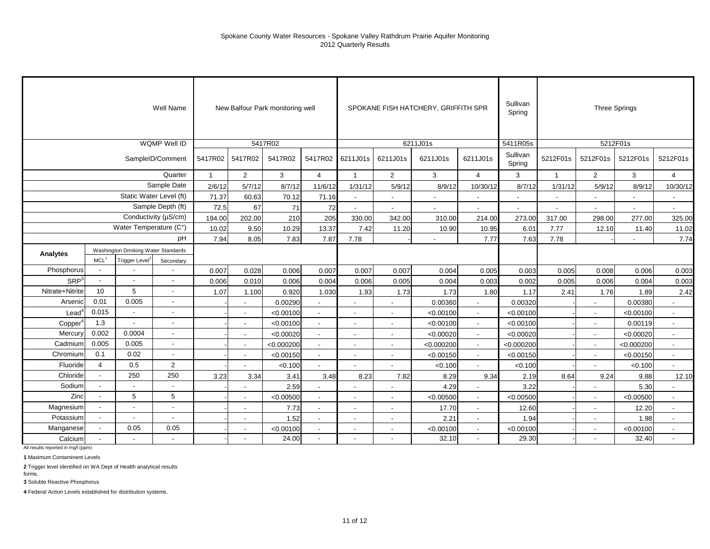|                  |                                                |                                    | Well Name                  |              |                          | New Balfour Park monitoring well |                          |                          |                          | SPOKANE FISH HATCHERY, GRIFFITH SPR |                          | Sullivan<br>Spring |                          |                          | <b>Three Springs</b> |                |
|------------------|------------------------------------------------|------------------------------------|----------------------------|--------------|--------------------------|----------------------------------|--------------------------|--------------------------|--------------------------|-------------------------------------|--------------------------|--------------------|--------------------------|--------------------------|----------------------|----------------|
|                  |                                                |                                    | WQMP Well ID               |              |                          | 5417R02                          |                          |                          |                          | 6211J01s                            |                          | 5411R05s           |                          |                          | 5212F01s             |                |
|                  |                                                |                                    | SampleID/Comment           | 5417R02      | 5417R02                  | 5417R02                          | 5417R02                  | 6211J01s                 | 6211J01s                 | 6211J01s                            | 6211J01s                 | Sullivan<br>Spring | 5212F01s                 | 5212F01s                 | 5212F01s             | 5212F01s       |
|                  |                                                |                                    | Quarter                    | $\mathbf{1}$ | $\overline{2}$           | 3                                | $\overline{4}$           | $\overline{1}$           | 2                        | 3                                   | $\overline{4}$           | 3                  | $\mathbf{1}$             | $\overline{2}$           | 3                    | $\overline{4}$ |
|                  |                                                |                                    | Sample Date                | 2/6/12       | 5/7/12                   | 8/7/12                           | 11/6/12                  | 1/31/12                  | 5/9/12                   | 8/9/12                              | 10/30/12                 | 8/7/12             | 1/31/12                  | 5/9/12                   | 8/9/12               | 10/30/12       |
|                  |                                                |                                    | Static Water Level (ft)    | 71.37        | 60.63                    | 70.12                            | 71.16                    | $\sim$                   | $\blacksquare$           |                                     | ä,                       | $\sim$             | $\overline{\phantom{a}}$ |                          |                      | $\blacksquare$ |
|                  |                                                |                                    | Sample Depth (ft)          | 72.5         | 67                       | 71                               | 72                       |                          |                          |                                     |                          |                    |                          |                          |                      |                |
|                  |                                                |                                    | Conductivity ( $\mu$ S/cm) | 194.00       | 202.00                   | 210                              | 205                      | 330.00                   | 342.00                   | 310.00                              | 214.00                   | 273.00             | 317.00                   | 298.00                   | 277.00               | 325.00         |
|                  |                                                | Water Temperature (C°)             |                            | 10.02        | 9.50                     | 10.29                            | 13.37                    | 7.42                     | 11.20                    | 10.90                               | 10.95                    | 6.01               | 7.77                     | 12.10                    | 11.40                | 11.02          |
|                  | Washington Drinking Water Standards            |                                    | pH                         | 7.94         | 8.05                     | 7.83                             | 7.87                     | 7.78                     |                          |                                     | 7.77                     | 7.63               | 7.78                     |                          |                      | 7.74           |
|                  | MCL <sup>1</sup><br>Trigger Level <sup>2</sup> |                                    |                            |              |                          |                                  |                          |                          |                          |                                     |                          |                    |                          |                          |                      |                |
| Analytes         |                                                |                                    | Secondary                  |              |                          |                                  |                          |                          |                          |                                     |                          |                    |                          |                          |                      |                |
| Phosphorus       | $\overline{\phantom{a}}$                       |                                    |                            | 0.007        | 0.028                    | 0.006                            | 0.007                    | 0.007                    | 0.007                    | 0.004                               | 0.005                    | 0.003              | 0.005                    | 0.008                    | 0.006                | 0.003          |
| SRP <sup>3</sup> | $\overline{\phantom{a}}$                       | $\sim$<br>$\overline{\phantom{a}}$ |                            | 0.006        | 0.010                    | 0.006                            | 0.004                    | 0.006                    | 0.005                    | 0.004                               | 0.003                    | 0.002              | 0.005                    | 0.006                    | 0.004                | 0.003          |
| Nitrate+Nitrite  | 10                                             | 5                                  | $\blacksquare$             | 1.07         | 1.100                    | 0.920                            | 1.030                    | 1.93                     | 1.73                     | 1.73                                | 1.80                     | 1.17               | 2.41                     | 1.76                     | 1.89                 | 2.42           |
| Arsenic          | 0.01                                           | 0.005                              | $\overline{\phantom{a}}$   |              | $\sim$                   | 0.00290                          | $\blacksquare$           | $\sim$                   | $\blacksquare$           | 0.00360                             | $\overline{a}$           | 0.00320            |                          |                          | 0.00380              | $\overline{a}$ |
| $\text{Lead}^4$  | 0.015                                          | $\sim$                             | $\overline{\phantom{a}}$   |              |                          | < 0.00100                        | $\overline{\phantom{a}}$ | $\overline{\phantom{a}}$ | $\overline{a}$           | < 0.00100                           |                          | < 0.00100          |                          |                          | < 0.00100            | $\sim$         |
| Copper           | 1.3                                            | $\overline{\phantom{a}}$           |                            |              |                          | < 0.00100                        |                          |                          |                          | < 0.00100                           |                          | < 0.00100          |                          |                          | 0.00119              | $\blacksquare$ |
| Mercury          | 0.002                                          | 0.0004                             | $\overline{\phantom{a}}$   |              | $\overline{\phantom{a}}$ | < 0.00020                        | $\sim$                   | $\overline{\phantom{a}}$ | $\overline{\phantom{a}}$ | < 0.00020                           | $\overline{\phantom{a}}$ | < 0.00020          |                          | $\overline{\phantom{a}}$ | < 0.00020            | $\sim$         |
| Cadmium          | 0.005                                          | 0.005                              | $\overline{\phantom{a}}$   |              | $\overline{\phantom{a}}$ | < 0.000200                       | $\blacksquare$           | $\overline{\phantom{a}}$ | $\blacksquare$           | < 0.000200                          | $\overline{\phantom{a}}$ | < 0.000200         |                          | $\blacksquare$           | < 0.000200           | $\sim$         |
| Chromium         | 0.1                                            | 0.02                               | $\blacksquare$             |              |                          | < 0.00150                        | $\blacksquare$           |                          | $\blacksquare$           | < 0.00150                           | $\blacksquare$           | < 0.00150          |                          |                          | < 0.00150            | $\blacksquare$ |
| Fluoride         | $\overline{4}$                                 | 0.5                                | $\overline{2}$             |              |                          | < 0.100                          |                          |                          |                          | < 0.100                             |                          | < 0.100            |                          |                          | < 0.100              |                |
| Chloride         | $\blacksquare$                                 | 250                                | 250                        | 3.23         | 3.34                     | 3.41                             | 3.48                     | 8.23                     | 7.82                     | 8.29                                | 9.34                     | 2.19               | 8.64                     | 9.24                     | 9.88                 | 12.10          |
| Sodium           | $\sim$                                         |                                    |                            |              |                          | 2.59                             |                          |                          |                          | 4.29                                |                          | 3.22               |                          |                          | 5.30                 |                |
| Zinc             | $\overline{\phantom{a}}$                       | 5                                  | 5                          |              |                          | < 0.00500                        |                          |                          |                          | < 0.00500                           |                          | < 0.00500          |                          |                          | < 0.00500            |                |
| Magnesium        |                                                | $\overline{\phantom{a}}$           | $\overline{\phantom{a}}$   |              | $\sim$                   | 7.73                             | $\overline{\phantom{a}}$ | $\sim$                   | $\overline{\phantom{a}}$ | 17.70                               | $\sim$                   | 12.60              |                          | $\blacksquare$           | 12.20                | $\sim$         |
| Potassium        | $\blacksquare$                                 | $\overline{\phantom{a}}$           | $\blacksquare$             |              | $\overline{\phantom{a}}$ | 1.52                             | $\overline{a}$           | $\overline{\phantom{a}}$ | $\blacksquare$           | 2.21                                | $\blacksquare$           | 1.94               |                          |                          | 1.98                 | $\mathbf{r}$   |
| Manganese        | $\blacksquare$                                 | 0.05                               | 0.05                       |              |                          | < 0.00100                        | $\overline{a}$           | $\sim$                   | $\overline{a}$           | < 0.00100                           | $\overline{a}$           | < 0.00100          |                          |                          | < 0.00100            | $\mathbf{r}$   |
| Calcium          |                                                | $\overline{\phantom{a}}$           | $\overline{\phantom{a}}$   |              |                          | 24.00                            | $\blacksquare$           | $\blacksquare$           |                          | 32.10                               | $\blacksquare$           | 29.30              |                          |                          | 32.40                | $\blacksquare$ |

All results reported in mg/l (ppm)

**1** Maximum Contaminent Levels

**2** Trigger level identified on WA Dept of Health analytical results

forms. **3** Soluble Reactive Phosphorus